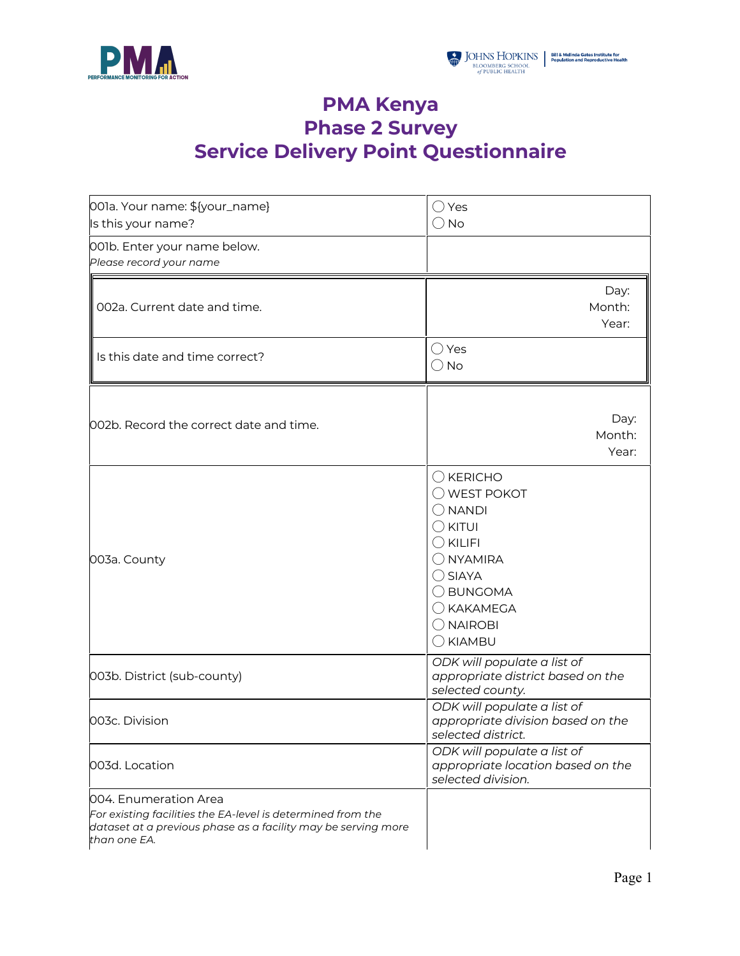



## **PMA Kenya Phase 2 Survey Service Delivery Point Questionnaire**

| 001a. Your name: \${your_name}<br>Is this your name?                                                                                                                  | $\bigcirc$ Yes<br>$\bigcirc$ No                                                                                                                                                                                                   |  |
|-----------------------------------------------------------------------------------------------------------------------------------------------------------------------|-----------------------------------------------------------------------------------------------------------------------------------------------------------------------------------------------------------------------------------|--|
| 001b. Enter your name below.<br>Please record your name                                                                                                               |                                                                                                                                                                                                                                   |  |
| 002a. Current date and time.                                                                                                                                          | Day:<br>Month:<br>Year:                                                                                                                                                                                                           |  |
| Is this date and time correct?                                                                                                                                        | ◯ Yes<br>$\bigcirc$ No                                                                                                                                                                                                            |  |
| 002b. Record the correct date and time.                                                                                                                               | Day:<br>Month:<br>Year:                                                                                                                                                                                                           |  |
| 003a. County                                                                                                                                                          | $\bigcirc$ KERICHO<br>$\bigcirc$ WEST POKOT<br>$\bigcirc$ NANDI<br>$\bigcirc$ kitui<br>$\bigcirc$ KILIFI<br>$\bigcirc$ NYAMIRA<br>$\bigcirc$ SIAYA<br>◯ BUNGOMA<br>$\bigcirc$ KAKAMEGA<br>$\bigcirc$ NAIROBI<br>$\bigcirc$ KIAMBU |  |
| 003b. District (sub-county)                                                                                                                                           | ODK will populate a list of<br>appropriate district based on the<br>selected county.                                                                                                                                              |  |
| 003c. Division                                                                                                                                                        | ODK will populate a list of<br>appropriate division based on the<br>selected district.                                                                                                                                            |  |
| 003d. Location                                                                                                                                                        | ODK will populate a list of<br>appropriate location based on the<br>selected division.                                                                                                                                            |  |
| 004. Enumeration Area<br>For existing facilities the EA-level is determined from the<br>dataset at a previous phase as a facility may be serving more<br>than one EA. |                                                                                                                                                                                                                                   |  |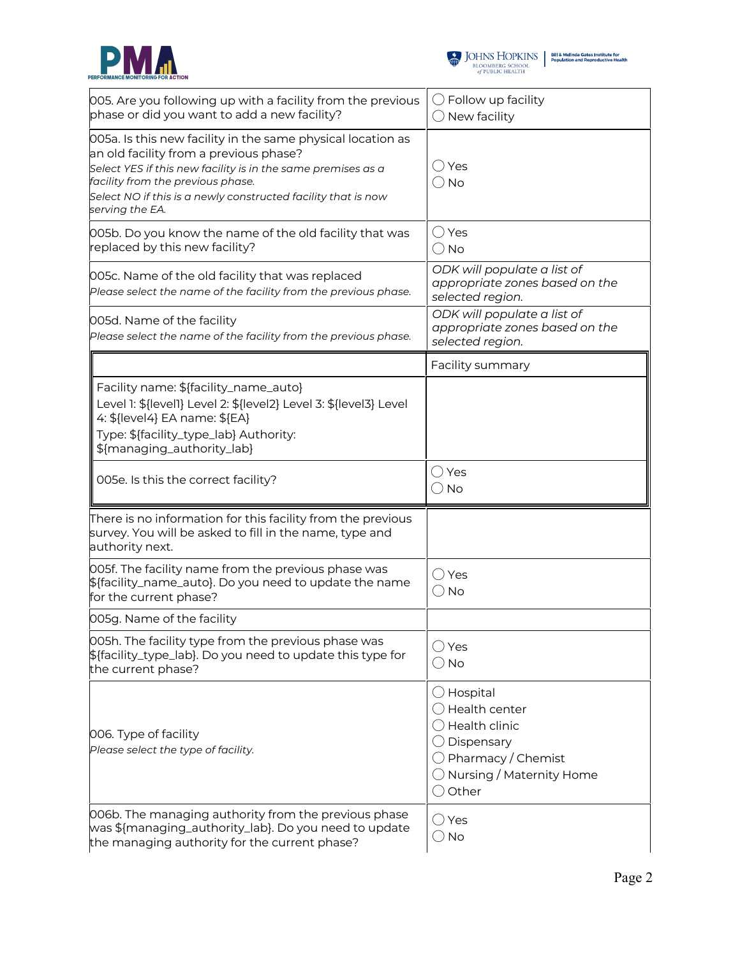



 $\begin{tabular}{l|c|c|c} \hline \textbf{J} & \textbf{JOHNS} & \textbf{HOPKINS} & \textbf{Bilä Melinda Gates instituta for}\\ \hline \textbf{BLOOMBERG SCHOOL} & \textbf{Population and Reproductive Health} \\ \hline \textit{of PUBLIC HEALTH} & \end{tabular}$ 

| 005. Are you following up with a facility from the previous<br>phase or did you want to add a new facility?                                                                                                                                                                                    | $\bigcirc$ Follow up facility<br>New facility                                                                                                                              |
|------------------------------------------------------------------------------------------------------------------------------------------------------------------------------------------------------------------------------------------------------------------------------------------------|----------------------------------------------------------------------------------------------------------------------------------------------------------------------------|
| 005a. Is this new facility in the same physical location as<br>an old facility from a previous phase?<br>Select YES if this new facility is in the same premises as a<br>facility from the previous phase.<br>Select NO if this is a newly constructed facility that is now<br>serving the EA. | $\bigcirc$ Yes<br>$\bigcirc$ No                                                                                                                                            |
| 005b. Do you know the name of the old facility that was<br>replaced by this new facility?                                                                                                                                                                                                      | $\bigcirc$ Yes<br>$\bigcirc$ No                                                                                                                                            |
| 005c. Name of the old facility that was replaced<br>Please select the name of the facility from the previous phase.                                                                                                                                                                            | ODK will populate a list of<br>appropriate zones based on the<br>selected region.                                                                                          |
| 005d. Name of the facility<br>Please select the name of the facility from the previous phase.                                                                                                                                                                                                  | ODK will populate a list of<br>appropriate zones based on the<br>selected region.                                                                                          |
|                                                                                                                                                                                                                                                                                                | Facility summary                                                                                                                                                           |
| Facility name: \${facility_name_auto}<br>Level 1: \${level1} Level 2: \${level2} Level 3: \${level3} Level<br>4: \${level4} EA name: \${EA}<br>Type: \${facility_type_lab} Authority:<br>\${managing_authority_lab}                                                                            |                                                                                                                                                                            |
| 005e. Is this the correct facility?                                                                                                                                                                                                                                                            | $\bigcirc$ Yes<br>$\bigcirc$ No                                                                                                                                            |
| There is no information for this facility from the previous<br>survey. You will be asked to fill in the name, type and<br>authority next.                                                                                                                                                      |                                                                                                                                                                            |
| 005f. The facility name from the previous phase was<br>\${facility_name_auto}. Do you need to update the name<br>for the current phase?                                                                                                                                                        | ○ Yes<br>$\bigcirc$ No                                                                                                                                                     |
| 005g. Name of the facility                                                                                                                                                                                                                                                                     |                                                                                                                                                                            |
| 005h. The facility type from the previous phase was<br>\${facility_type_lab}. Do you need to update this type for<br>the current phase?                                                                                                                                                        | $\bigcirc$ Yes<br>$\bigcirc$ No                                                                                                                                            |
| 006. Type of facility<br>Please select the type of facility.                                                                                                                                                                                                                                   | $\bigcirc$ Hospital<br>$\bigcirc$ Health center<br>$\bigcirc$ Health clinic<br>Dispensary<br>Pharmacy / Chemist<br>$\bigcirc$ Nursing / Maternity Home<br>$\bigcirc$ Other |
| 006b. The managing authority from the previous phase<br>was \${managing_authority_lab}. Do you need to update<br>the managing authority for the current phase?                                                                                                                                 | $\bigcirc$ Yes<br>$\bigcirc$ No                                                                                                                                            |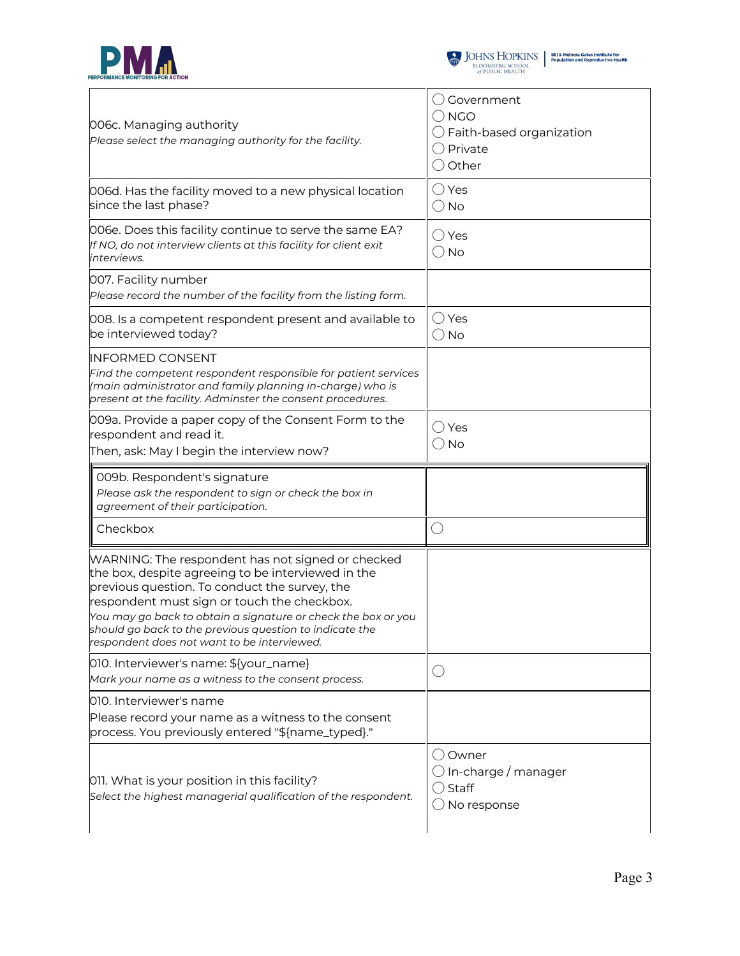



| 006c. Managing authority<br>Please select the managing authority for the facility.                                                                                                                                                                                                                                                                    | $\bigcirc$ Government<br>$\bigcirc$ NGO<br>$\bigcirc$ Faith-based organization<br>$\bigcirc$ Private<br>$\bigcirc$ Other |
|-------------------------------------------------------------------------------------------------------------------------------------------------------------------------------------------------------------------------------------------------------------------------------------------------------------------------------------------------------|--------------------------------------------------------------------------------------------------------------------------|
| 006d. Has the facility moved to a new physical location<br>since the last phase?                                                                                                                                                                                                                                                                      | $\bigcirc$ Yes<br>$\bigcirc$ No                                                                                          |
| 006e. Does this facility continue to serve the same EA?<br>If NO, do not interview clients at this facility for client exit<br>interviews.                                                                                                                                                                                                            | $\bigcirc$ Yes<br>$\bigcirc$ No                                                                                          |
| 007. Facility number<br>Please record the number of the facility from the listing form.                                                                                                                                                                                                                                                               |                                                                                                                          |
| 008. Is a competent respondent present and available to<br>be interviewed today?                                                                                                                                                                                                                                                                      | $\bigcirc$ Yes<br>$\bigcirc$ No                                                                                          |
| INFORMED CONSENT<br>Find the competent respondent responsible for patient services<br>(main administrator and family planning in-charge) who is<br>present at the facility. Adminster the consent procedures.                                                                                                                                         |                                                                                                                          |
| 009a. Provide a paper copy of the Consent Form to the<br>respondent and read it.<br>Then, ask: May I begin the interview now?                                                                                                                                                                                                                         | $\bigcirc$ Yes<br>$\bigcirc$ No                                                                                          |
|                                                                                                                                                                                                                                                                                                                                                       |                                                                                                                          |
| 009b. Respondent's signature<br>Please ask the respondent to sign or check the box in<br>agreement of their participation.                                                                                                                                                                                                                            |                                                                                                                          |
| Checkbox                                                                                                                                                                                                                                                                                                                                              | O                                                                                                                        |
| WARNING: The respondent has not signed or checked<br>previous question. To conduct the survey, the<br>respondent must sign or touch the checkbox.<br>You may go back to obtain a signature or check the box or you<br>respondent does not want to be interviewed.                                                                                     |                                                                                                                          |
|                                                                                                                                                                                                                                                                                                                                                       | $(\ )$                                                                                                                   |
| the box, despite agreeing to be interviewed in the<br>should go back to the previous question to indicate the<br>010. Interviewer's name: \${your_name}<br>Mark your name as a witness to the consent process.<br>010. Interviewer's name<br>Please record your name as a witness to the consent<br>process. You previously entered "\${name_typed}." |                                                                                                                          |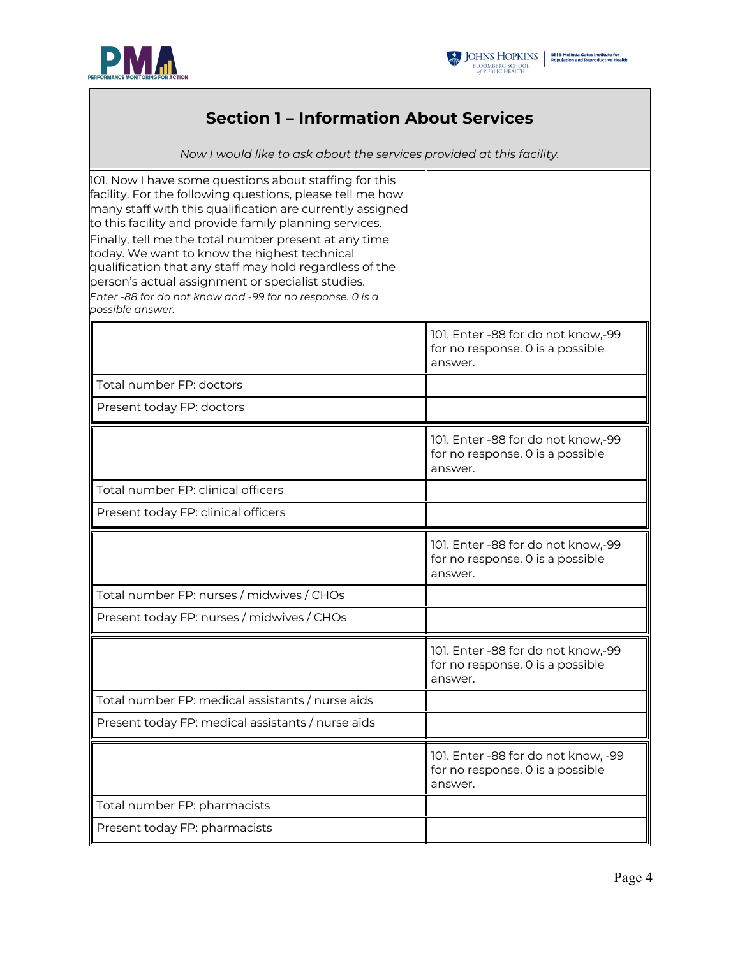



## **Section 1 – Information About Services**

*Now I would like to ask about the services provided at this facility.*

| 101. Now I have some questions about staffing for this<br>facility. For the following questions, please tell me how<br>many staff with this qualification are currently assigned<br>to this facility and provide family planning services.<br>Finally, tell me the total number present at any time<br>today. We want to know the highest technical<br>qualification that any staff may hold regardless of the<br>person's actual assignment or specialist studies.<br>Enter -88 for do not know and -99 for no response. 0 is a<br>possible answer. |                                                                                    |
|------------------------------------------------------------------------------------------------------------------------------------------------------------------------------------------------------------------------------------------------------------------------------------------------------------------------------------------------------------------------------------------------------------------------------------------------------------------------------------------------------------------------------------------------------|------------------------------------------------------------------------------------|
|                                                                                                                                                                                                                                                                                                                                                                                                                                                                                                                                                      | 101. Enter -88 for do not know,-99<br>for no response. 0 is a possible<br>answer.  |
| Total number FP: doctors                                                                                                                                                                                                                                                                                                                                                                                                                                                                                                                             |                                                                                    |
| Present today FP: doctors                                                                                                                                                                                                                                                                                                                                                                                                                                                                                                                            |                                                                                    |
|                                                                                                                                                                                                                                                                                                                                                                                                                                                                                                                                                      | 101. Enter -88 for do not know,-99<br>for no response. O is a possible<br>answer.  |
| Total number FP: clinical officers                                                                                                                                                                                                                                                                                                                                                                                                                                                                                                                   |                                                                                    |
| Present today FP: clinical officers                                                                                                                                                                                                                                                                                                                                                                                                                                                                                                                  |                                                                                    |
|                                                                                                                                                                                                                                                                                                                                                                                                                                                                                                                                                      | 101. Enter -88 for do not know,-99<br>for no response. 0 is a possible<br>answer.  |
| Total number FP: nurses / midwives / CHOs                                                                                                                                                                                                                                                                                                                                                                                                                                                                                                            |                                                                                    |
| Present today FP: nurses / midwives / CHOs                                                                                                                                                                                                                                                                                                                                                                                                                                                                                                           |                                                                                    |
|                                                                                                                                                                                                                                                                                                                                                                                                                                                                                                                                                      |                                                                                    |
|                                                                                                                                                                                                                                                                                                                                                                                                                                                                                                                                                      | 101. Enter -88 for do not know,-99<br>for no response. O is a possible<br>answer.  |
| Total number FP: medical assistants / nurse aids                                                                                                                                                                                                                                                                                                                                                                                                                                                                                                     |                                                                                    |
| Present today FP: medical assistants / nurse aids                                                                                                                                                                                                                                                                                                                                                                                                                                                                                                    |                                                                                    |
|                                                                                                                                                                                                                                                                                                                                                                                                                                                                                                                                                      | 101. Enter -88 for do not know, -99<br>for no response. O is a possible<br>answer. |
| Total number FP: pharmacists                                                                                                                                                                                                                                                                                                                                                                                                                                                                                                                         |                                                                                    |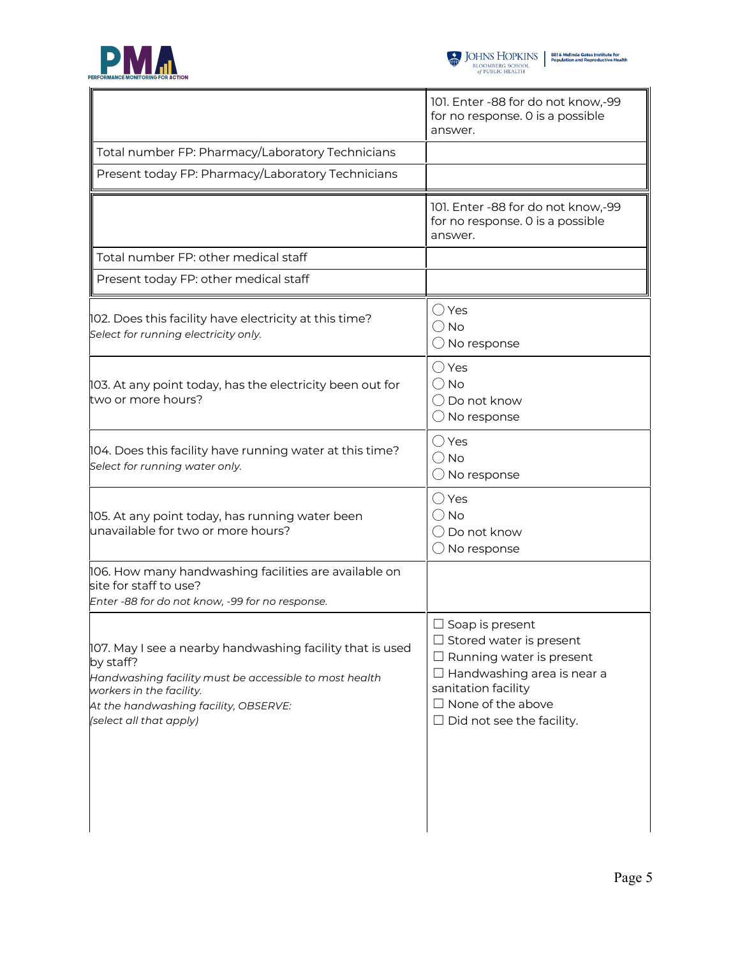



|                                                                                                                                                                                                                                  | 101. Enter -88 for do not know,-99<br>for no response. 0 is a possible<br>answer.                                                                                                                                       |
|----------------------------------------------------------------------------------------------------------------------------------------------------------------------------------------------------------------------------------|-------------------------------------------------------------------------------------------------------------------------------------------------------------------------------------------------------------------------|
| Total number FP: Pharmacy/Laboratory Technicians                                                                                                                                                                                 |                                                                                                                                                                                                                         |
| Present today FP: Pharmacy/Laboratory Technicians                                                                                                                                                                                |                                                                                                                                                                                                                         |
|                                                                                                                                                                                                                                  | 101. Enter -88 for do not know,-99<br>for no response. 0 is a possible<br>answer.                                                                                                                                       |
| Total number FP: other medical staff                                                                                                                                                                                             |                                                                                                                                                                                                                         |
| Present today FP: other medical staff                                                                                                                                                                                            |                                                                                                                                                                                                                         |
| 102. Does this facility have electricity at this time?<br>Select for running electricity only.                                                                                                                                   | $\bigcirc$ Yes<br>$\bigcirc$ No<br>$\bigcirc$ No response                                                                                                                                                               |
| 103. At any point today, has the electricity been out for<br>two or more hours?                                                                                                                                                  | $\bigcirc$ Yes<br>$\bigcirc$ No<br>$\bigcirc$ Do not know<br>$\bigcirc$ No response                                                                                                                                     |
| 104. Does this facility have running water at this time?<br>Select for running water only.                                                                                                                                       | $\bigcirc$ Yes<br>$\bigcirc$ No<br>$\bigcirc$ No response                                                                                                                                                               |
| 105. At any point today, has running water been<br>unavailable for two or more hours?                                                                                                                                            | $\bigcirc$ Yes<br>$\bigcirc$ No<br>() Do not know<br>$\bigcirc$ No response                                                                                                                                             |
| 106. How many handwashing facilities are available on<br>site for staff to use?<br>Enter -88 for do not know, -99 for no response.                                                                                               |                                                                                                                                                                                                                         |
| 107. May I see a nearby handwashing facility that is used<br>by staff?<br>Handwashing facility must be accessible to most health<br>workers in the facility.<br>At the handwashing facility, OBSERVE:<br>(select all that apply) | $\Box$ Soap is present<br>$\Box$ Stored water is present<br>$\Box$ Running water is present<br>$\Box$ Handwashing area is near a<br>sanitation facility<br>$\Box$ None of the above<br>$\Box$ Did not see the facility. |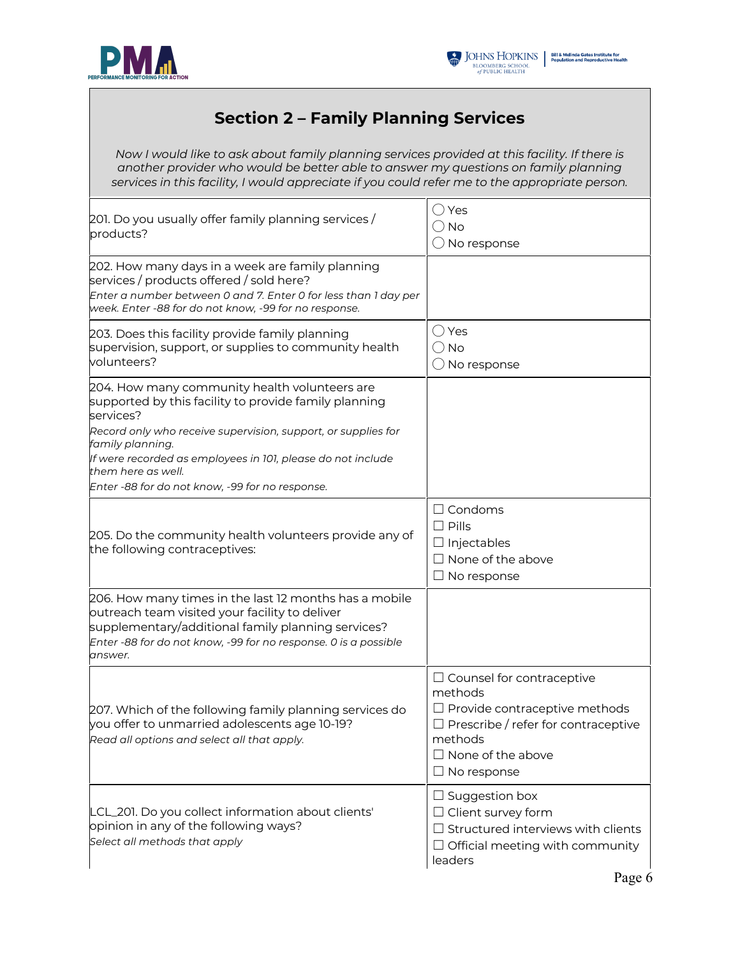



## **Section 2 – Family Planning Services**

*Now I would like to ask about family planning services provided at this facility. If there is another provider who would be better able to answer my questions on family planning services in this facility, I would appreciate if you could refer me to the appropriate person.*

| 201. Do you usually offer family planning services /<br>products?                                                                                                                                                                                                                                                                                | ◯ Yes<br>( ) No<br>$\bigcirc$ No response                                                                                                                                                      |
|--------------------------------------------------------------------------------------------------------------------------------------------------------------------------------------------------------------------------------------------------------------------------------------------------------------------------------------------------|------------------------------------------------------------------------------------------------------------------------------------------------------------------------------------------------|
| 202. How many days in a week are family planning<br>services / products offered / sold here?<br>Enter a number between 0 and 7. Enter 0 for less than 1 day per<br>week. Enter -88 for do not know, -99 for no response.                                                                                                                         |                                                                                                                                                                                                |
| 203. Does this facility provide family planning<br>supervision, support, or supplies to community health<br>volunteers?                                                                                                                                                                                                                          | ◯ Yes<br>$\bigcirc$ No<br>$\bigcirc$ No response                                                                                                                                               |
| 204. How many community health volunteers are<br>supported by this facility to provide family planning<br>services?<br>Record only who receive supervision, support, or supplies for<br>family planning.<br>If were recorded as employees in 101, please do not include<br>them here as well.<br>Enter -88 for do not know, -99 for no response. |                                                                                                                                                                                                |
| 205. Do the community health volunteers provide any of<br>the following contraceptives:                                                                                                                                                                                                                                                          | $\Box$ Condoms<br>$\Box$ Pills<br>$\Box$ Injectables<br>$\Box$ None of the above<br>$\Box$ No response                                                                                         |
| 206. How many times in the last 12 months has a mobile<br>outreach team visited your facility to deliver<br>supplementary/additional family planning services?<br>Enter -88 for do not know, -99 for no response. O is a possible<br>answer.                                                                                                     |                                                                                                                                                                                                |
| 207. Which of the following family planning services do<br>you offer to unmarried adolescents age 10-19?<br>Read all options and select all that apply.                                                                                                                                                                                          | $\Box$ Counsel for contraceptive<br>methods<br>$\Box$ Provide contraceptive methods<br>$\Box$ Prescribe / refer for contraceptive<br>methods<br>$\Box$ None of the above<br>$\Box$ No response |
| LCL_201. Do you collect information about clients'<br>opinion in any of the following ways?<br>Select all methods that apply                                                                                                                                                                                                                     | $\Box$ Suggestion box<br>$\Box$ Client survey form<br>$\Box$ Structured interviews with clients<br>$\Box$ Official meeting with community<br>leaders                                           |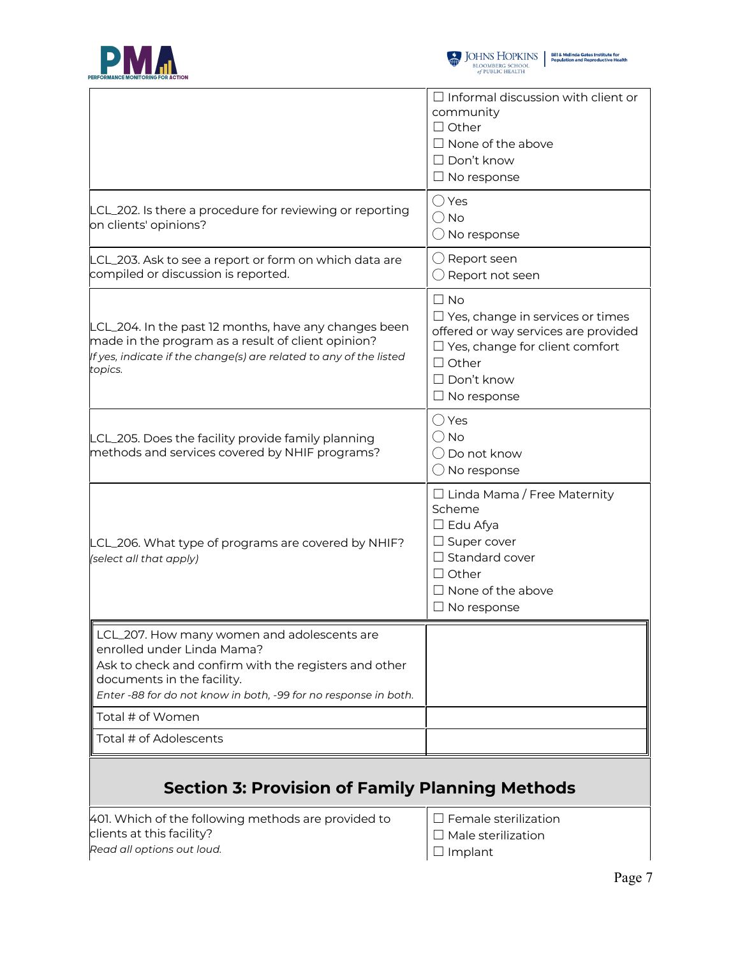



|                                                                                                                                                                                                                                     | $\Box$ Informal discussion with client or<br>community<br>$\Box$ Other<br>$\Box$ None of the above<br>$\Box$ Don't know<br>$\Box$ No response                                                    |
|-------------------------------------------------------------------------------------------------------------------------------------------------------------------------------------------------------------------------------------|--------------------------------------------------------------------------------------------------------------------------------------------------------------------------------------------------|
| LCL_202. Is there a procedure for reviewing or reporting<br>on clients' opinions?                                                                                                                                                   | $\bigcirc$ Yes<br>$\bigcirc$ No<br>$\bigcirc$ No response                                                                                                                                        |
| LCL_203. Ask to see a report or form on which data are<br>compiled or discussion is reported.                                                                                                                                       | $\bigcirc$ Report seen<br>$\bigcirc$ Report not seen                                                                                                                                             |
| LCL_204. In the past 12 months, have any changes been<br>made in the program as a result of client opinion?<br>If yes, indicate if the change(s) are related to any of the listed<br>topics.                                        | $\Box$ No<br>$\Box$ Yes, change in services or times<br>offered or way services are provided<br>$\Box$ Yes, change for client comfort<br>$\Box$ Other<br>$\Box$ Don't know<br>$\Box$ No response |
| LCL_205. Does the facility provide family planning<br>methods and services covered by NHIF programs?                                                                                                                                | $\bigcirc$ Yes<br>$\bigcirc$ No<br>◯ Do not know<br>$\bigcirc$ No response                                                                                                                       |
| LCL_206. What type of programs are covered by NHIF?<br>(select all that apply)                                                                                                                                                      | $\Box$ Linda Mama / Free Maternity<br>Scheme<br>$\Box$ Edu Afya<br>$\Box$ Super cover<br>$\Box$ Standard cover<br>$\Box$ Other<br>$\Box$ None of the above<br>$\Box$ No response                 |
| LCL_207. How many women and adolescents are<br>enrolled under Linda Mama?<br>Ask to check and confirm with the registers and other<br>documents in the facility.<br>Enter -88 for do not know in both, -99 for no response in both. |                                                                                                                                                                                                  |
| Total # of Women                                                                                                                                                                                                                    |                                                                                                                                                                                                  |
| Total # of Adolescents                                                                                                                                                                                                              |                                                                                                                                                                                                  |
| <b>Section 3: Provision of Family Planning Methods</b>                                                                                                                                                                              |                                                                                                                                                                                                  |
| 401. Which of the following methods are provided to<br>clients at this facility?                                                                                                                                                    | $\Box$ Female sterilization<br>Male sterilization                                                                                                                                                |

*Read all options out loud.*

☐ Male sterilization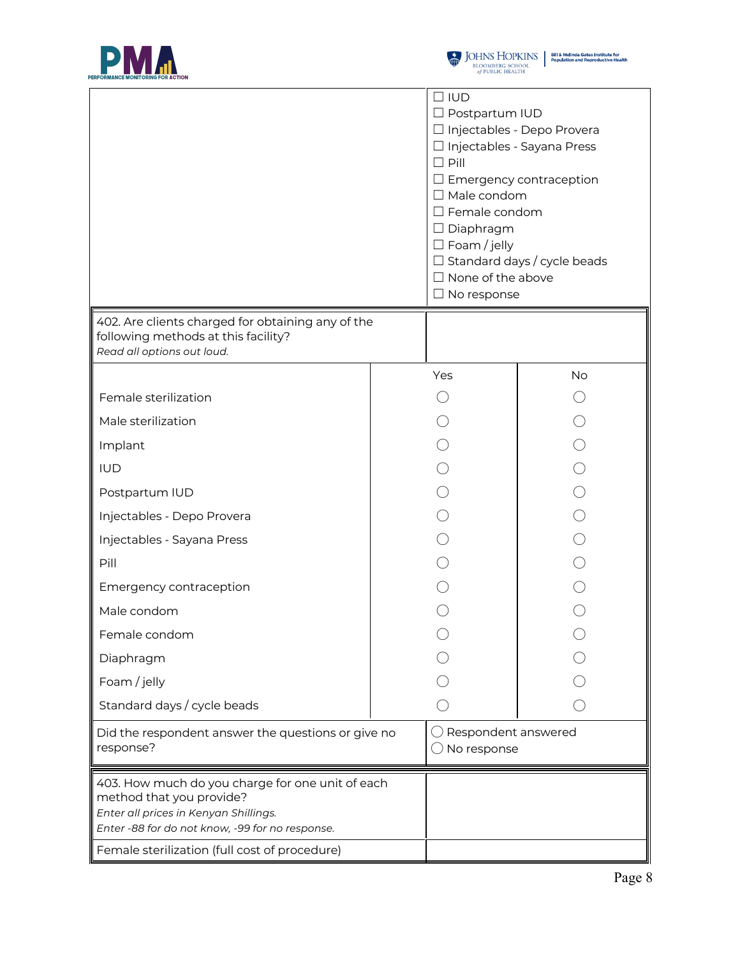



|                                                                                                                                                                          | $\Box$ IUD<br>□ Postpartum IUD<br>$\Box$ Pill<br>$\Box$ Male condom<br>$\Box$ Female condom<br>$\Box$ Diaphragm<br>$\Box$ Foam / jelly<br>$\Box$ None of the above<br>$\Box$ No response | □ Injectables - Depo Provera<br>□ Injectables - Sayana Press<br>$\Box$ Emergency contraception<br>$\Box$ Standard days / cycle beads |
|--------------------------------------------------------------------------------------------------------------------------------------------------------------------------|------------------------------------------------------------------------------------------------------------------------------------------------------------------------------------------|--------------------------------------------------------------------------------------------------------------------------------------|
| 402. Are clients charged for obtaining any of the<br>following methods at this facility?<br>Read all options out loud.                                                   |                                                                                                                                                                                          |                                                                                                                                      |
|                                                                                                                                                                          | Yes                                                                                                                                                                                      | No                                                                                                                                   |
| Female sterilization                                                                                                                                                     |                                                                                                                                                                                          |                                                                                                                                      |
| Male sterilization                                                                                                                                                       |                                                                                                                                                                                          |                                                                                                                                      |
| Implant                                                                                                                                                                  |                                                                                                                                                                                          |                                                                                                                                      |
| <b>IUD</b>                                                                                                                                                               |                                                                                                                                                                                          |                                                                                                                                      |
| Postpartum IUD                                                                                                                                                           |                                                                                                                                                                                          |                                                                                                                                      |
| Injectables - Depo Provera                                                                                                                                               |                                                                                                                                                                                          |                                                                                                                                      |
| Injectables - Sayana Press                                                                                                                                               |                                                                                                                                                                                          |                                                                                                                                      |
| Pill                                                                                                                                                                     |                                                                                                                                                                                          |                                                                                                                                      |
| Emergency contraception                                                                                                                                                  |                                                                                                                                                                                          |                                                                                                                                      |
| Male condom                                                                                                                                                              |                                                                                                                                                                                          |                                                                                                                                      |
| Female condom                                                                                                                                                            |                                                                                                                                                                                          |                                                                                                                                      |
| Diaphragm                                                                                                                                                                |                                                                                                                                                                                          |                                                                                                                                      |
| Foam / jelly                                                                                                                                                             |                                                                                                                                                                                          |                                                                                                                                      |
| Standard days / cycle beads                                                                                                                                              |                                                                                                                                                                                          |                                                                                                                                      |
| Did the respondent answer the questions or give no<br>response?                                                                                                          | Respondent answered<br>No response                                                                                                                                                       |                                                                                                                                      |
| 403. How much do you charge for one unit of each<br>method that you provide?<br>Enter all prices in Kenyan Shillings.<br>Enter -88 for do not know, -99 for no response. |                                                                                                                                                                                          |                                                                                                                                      |
| Female sterilization (full cost of procedure)                                                                                                                            |                                                                                                                                                                                          |                                                                                                                                      |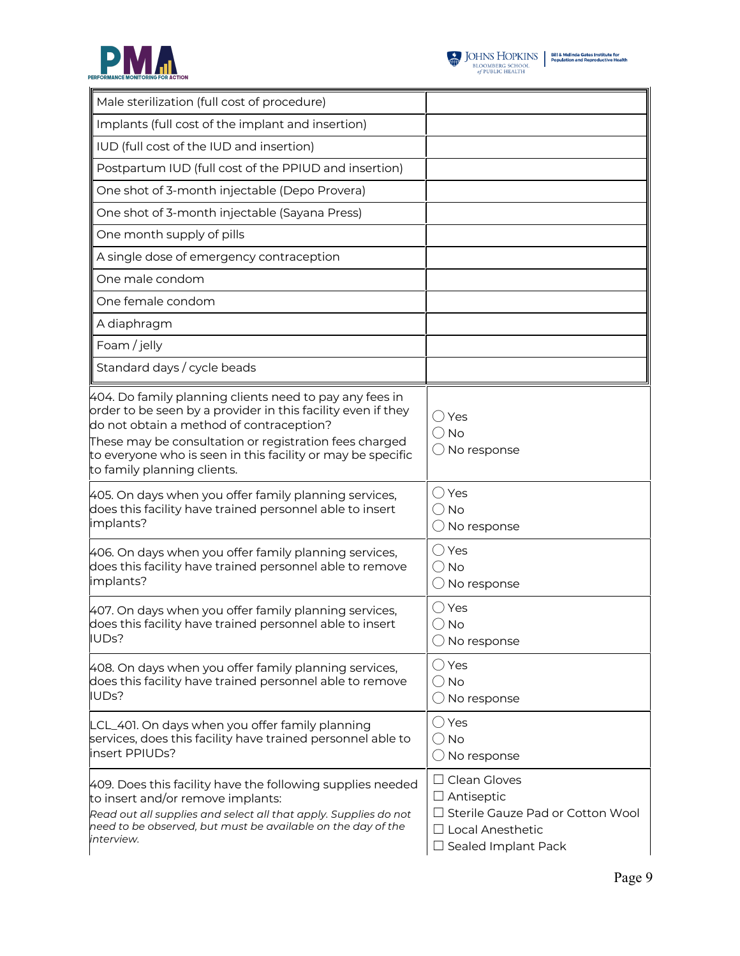



| Male sterilization (full cost of procedure)                                                                                                                                                                                                                                                                                 |                                                                                                                                              |
|-----------------------------------------------------------------------------------------------------------------------------------------------------------------------------------------------------------------------------------------------------------------------------------------------------------------------------|----------------------------------------------------------------------------------------------------------------------------------------------|
| Implants (full cost of the implant and insertion)                                                                                                                                                                                                                                                                           |                                                                                                                                              |
| IUD (full cost of the IUD and insertion)                                                                                                                                                                                                                                                                                    |                                                                                                                                              |
| Postpartum IUD (full cost of the PPIUD and insertion)                                                                                                                                                                                                                                                                       |                                                                                                                                              |
| One shot of 3-month injectable (Depo Provera)                                                                                                                                                                                                                                                                               |                                                                                                                                              |
| One shot of 3-month injectable (Sayana Press)                                                                                                                                                                                                                                                                               |                                                                                                                                              |
| One month supply of pills                                                                                                                                                                                                                                                                                                   |                                                                                                                                              |
| A single dose of emergency contraception                                                                                                                                                                                                                                                                                    |                                                                                                                                              |
| One male condom                                                                                                                                                                                                                                                                                                             |                                                                                                                                              |
| One female condom                                                                                                                                                                                                                                                                                                           |                                                                                                                                              |
| A diaphragm                                                                                                                                                                                                                                                                                                                 |                                                                                                                                              |
| Foam / jelly                                                                                                                                                                                                                                                                                                                |                                                                                                                                              |
| Standard days / cycle beads                                                                                                                                                                                                                                                                                                 |                                                                                                                                              |
| 404. Do family planning clients need to pay any fees in<br>order to be seen by a provider in this facility even if they<br>do not obtain a method of contraception?<br>These may be consultation or registration fees charged<br>to everyone who is seen in this facility or may be specific<br>to family planning clients. | ◯ Yes<br>$\bigcirc$ No<br>$\bigcirc$ No response                                                                                             |
| 405. On days when you offer family planning services,<br>does this facility have trained personnel able to insert<br>implants?                                                                                                                                                                                              | $\bigcirc$ Yes<br>$\bigcirc$ No<br>$\bigcirc$ No response                                                                                    |
| 406. On days when you offer family planning services,<br>does this facility have trained personnel able to remove<br>implants?                                                                                                                                                                                              | ◯ Yes<br>$\bigcirc$ No<br>$\bigcirc$ No response                                                                                             |
| 407. On days when you offer family planning services,<br>does this facility have trained personnel able to insert<br>IUDs?                                                                                                                                                                                                  | $\bigcirc$ Yes<br>() No<br>$\bigcirc$ No response                                                                                            |
| 408. On days when you offer family planning services,<br>does this facility have trained personnel able to remove<br>IUDs?                                                                                                                                                                                                  | $\bigcirc$ Yes<br>$\bigcirc$ No<br>$\bigcirc$ No response                                                                                    |
| LCL_401. On days when you offer family planning<br>services, does this facility have trained personnel able to<br>insert PPIUDs?                                                                                                                                                                                            | $\bigcirc$ Yes<br>$()$ No<br>$\bigcirc$ No response                                                                                          |
| 409. Does this facility have the following supplies needed<br>to insert and/or remove implants:<br>Read out all supplies and select all that apply. Supplies do not<br>need to be observed, but must be available on the day of the<br>interview.                                                                           | $\Box$ Clean Gloves<br>$\Box$ Antiseptic<br>$\Box$ Sterile Gauze Pad or Cotton Wool<br>$\Box$ Local Anesthetic<br>$\Box$ Sealed Implant Pack |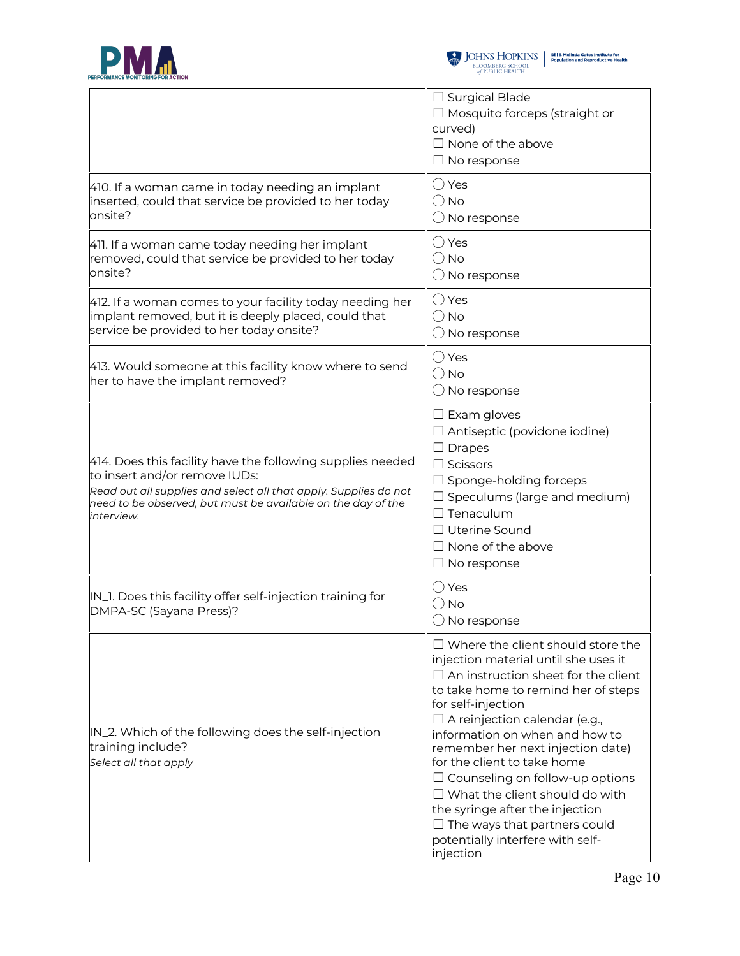



|                                                                                                                                                                                                                                               | $\Box$ Surgical Blade<br>$\Box$ Mosquito forceps (straight or<br>curved)<br>$\Box$ None of the above<br>$\Box$ No response                                                                                                                                                                                                                                                                                                                                                                                                                              |
|-----------------------------------------------------------------------------------------------------------------------------------------------------------------------------------------------------------------------------------------------|---------------------------------------------------------------------------------------------------------------------------------------------------------------------------------------------------------------------------------------------------------------------------------------------------------------------------------------------------------------------------------------------------------------------------------------------------------------------------------------------------------------------------------------------------------|
| 410. If a woman came in today needing an implant<br>inserted, could that service be provided to her today<br>onsite?                                                                                                                          | $\bigcirc$ Yes<br>$\bigcirc$ No<br>$\bigcirc$ No response                                                                                                                                                                                                                                                                                                                                                                                                                                                                                               |
| 411. If a woman came today needing her implant<br>removed, could that service be provided to her today<br>onsite?                                                                                                                             | $\bigcirc$ Yes<br>$\bigcirc$ No<br>$\bigcirc$ No response                                                                                                                                                                                                                                                                                                                                                                                                                                                                                               |
| 412. If a woman comes to your facility today needing her<br>implant removed, but it is deeply placed, could that<br>service be provided to her today onsite?                                                                                  | $\bigcirc$ Yes<br>$\bigcirc$ No<br>$\bigcirc$ No response                                                                                                                                                                                                                                                                                                                                                                                                                                                                                               |
| 413. Would someone at this facility know where to send<br>her to have the implant removed?                                                                                                                                                    | ◯ Yes<br>$\bigcirc$ No<br>$\bigcirc$ No response                                                                                                                                                                                                                                                                                                                                                                                                                                                                                                        |
| 414. Does this facility have the following supplies needed<br>to insert and/or remove IUDs:<br>Read out all supplies and select all that apply. Supplies do not<br>need to be observed, but must be available on the day of the<br>interview. | $\Box$ Exam gloves<br>$\Box$ Antiseptic (povidone iodine)<br>$\Box$ Drapes<br>$\Box$ Scissors<br>$\Box$ Sponge-holding forceps<br>$\Box$ Speculums (large and medium)<br>$\Box$ Tenaculum<br>$\Box$ Uterine Sound<br>$\Box$ None of the above<br>$\Box$ No response                                                                                                                                                                                                                                                                                     |
| IN_1. Does this facility offer self-injection training for<br>DMPA-SC (Sayana Press)?                                                                                                                                                         | ◯ Yes<br>( ) No<br>$\bigcirc$ No response                                                                                                                                                                                                                                                                                                                                                                                                                                                                                                               |
| IN_2. Which of the following does the self-injection<br>training include?<br>Select all that apply                                                                                                                                            | $\Box$ Where the client should store the<br>injection material until she uses it<br>$\Box$ An instruction sheet for the client<br>to take home to remind her of steps<br>for self-injection<br>$\Box$ A reinjection calendar (e.g.,<br>information on when and how to<br>remember her next injection date)<br>for the client to take home<br>$\Box$ Counseling on follow-up options<br>$\Box$ What the client should do with<br>the syringe after the injection<br>$\Box$ The ways that partners could<br>potentially interfere with self-<br>injection |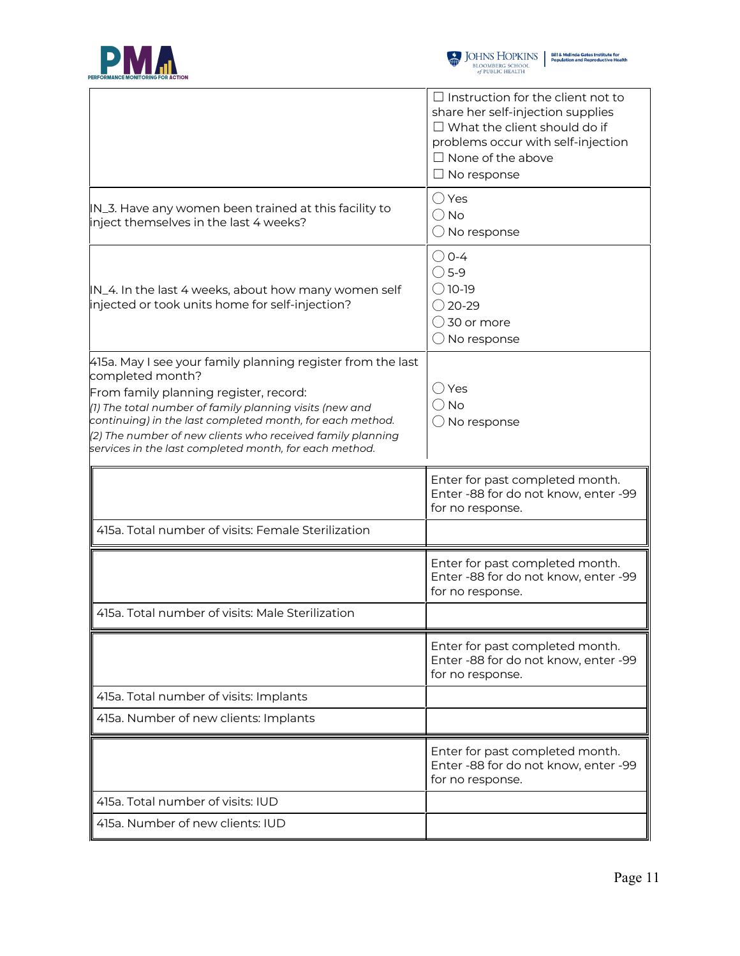



| $\Box$ Instruction for the client not to<br>share her self-injection supplies<br>$\Box$ What the client should do if<br>problems occur with self-injection<br>$\Box$ None of the above<br>$\Box$ No response |
|--------------------------------------------------------------------------------------------------------------------------------------------------------------------------------------------------------------|
| $\bigcirc$ Yes<br>$\bigcirc$ No<br>$\bigcirc$ No response                                                                                                                                                    |
| $\bigcirc$ 0-4<br>$\bigcirc$ 5-9<br>$\bigcirc$ 10-19<br>$\bigcirc$ 20-29<br>$\bigcirc$ 30 or more<br>$\bigcirc$ No response                                                                                  |
| () Yes<br>$\bigcirc$ No<br>$\bigcirc$ No response                                                                                                                                                            |
|                                                                                                                                                                                                              |
| Enter for past completed month.<br>Enter -88 for do not know, enter -99<br>for no response.                                                                                                                  |
|                                                                                                                                                                                                              |
| Enter for past completed month.<br>Enter -88 for do not know, enter -99<br>for no response.                                                                                                                  |
|                                                                                                                                                                                                              |
| Enter for past completed month.<br>Enter -88 for do not know, enter -99<br>for no response.                                                                                                                  |
|                                                                                                                                                                                                              |
|                                                                                                                                                                                                              |
| Enter for past completed month.<br>Enter -88 for do not know, enter -99<br>for no response.                                                                                                                  |
|                                                                                                                                                                                                              |
|                                                                                                                                                                                                              |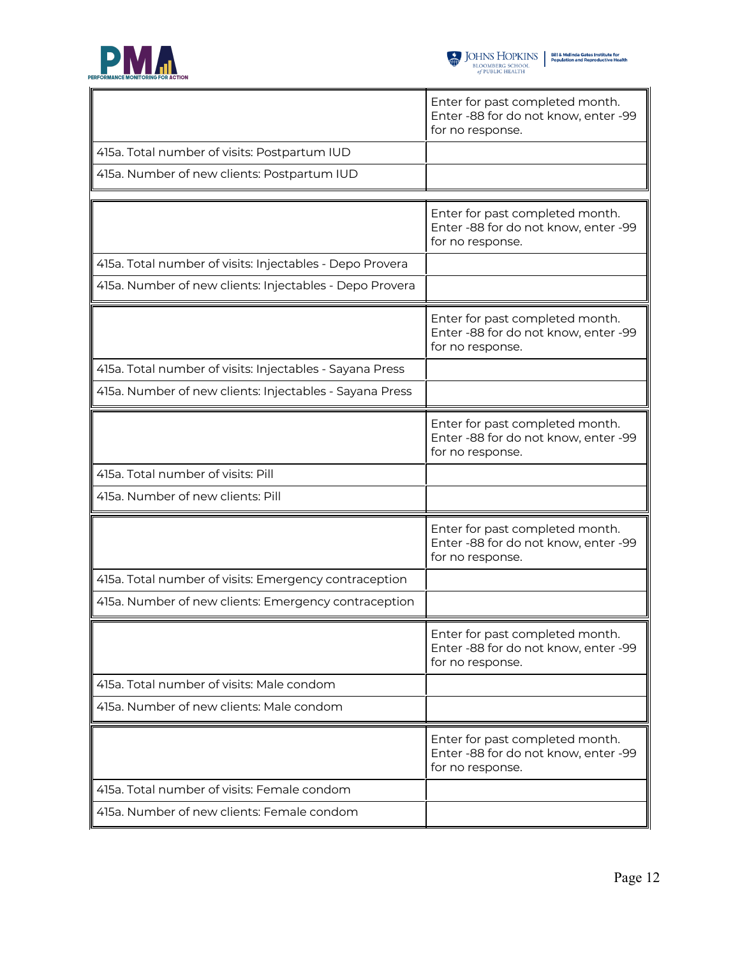

|                                                          | Enter for past completed month.<br>Enter -88 for do not know, enter -99<br>for no response. |
|----------------------------------------------------------|---------------------------------------------------------------------------------------------|
| 415a. Total number of visits: Postpartum IUD             |                                                                                             |
| 415a. Number of new clients: Postpartum IUD              |                                                                                             |
|                                                          |                                                                                             |
|                                                          | Enter for past completed month.<br>Enter -88 for do not know, enter -99<br>for no response. |
| 415a. Total number of visits: Injectables - Depo Provera |                                                                                             |
| 415a. Number of new clients: Injectables - Depo Provera  |                                                                                             |
|                                                          | Enter for past completed month.<br>Enter -88 for do not know, enter -99<br>for no response. |
| 415a. Total number of visits: Injectables - Sayana Press |                                                                                             |
| 415a. Number of new clients: Injectables - Sayana Press  |                                                                                             |
|                                                          | Enter for past completed month.<br>Enter -88 for do not know, enter -99<br>for no response. |
| 415a. Total number of visits: Pill                       |                                                                                             |
| 415a. Number of new clients: Pill                        |                                                                                             |
|                                                          | Enter for past completed month.<br>Enter -88 for do not know, enter -99<br>for no response. |
| 415a. Total number of visits: Emergency contraception    |                                                                                             |
| 415a. Number of new clients: Emergency contraception     |                                                                                             |
|                                                          | Enter for past completed month.<br>Enter -88 for do not know, enter -99<br>for no response. |
| 415a. Total number of visits: Male condom                |                                                                                             |
| 415a. Number of new clients: Male condom                 |                                                                                             |
|                                                          | Enter for past completed month.<br>Enter -88 for do not know, enter -99<br>for no response. |
| 415a. Total number of visits: Female condom              |                                                                                             |
| 415a. Number of new clients: Female condom               |                                                                                             |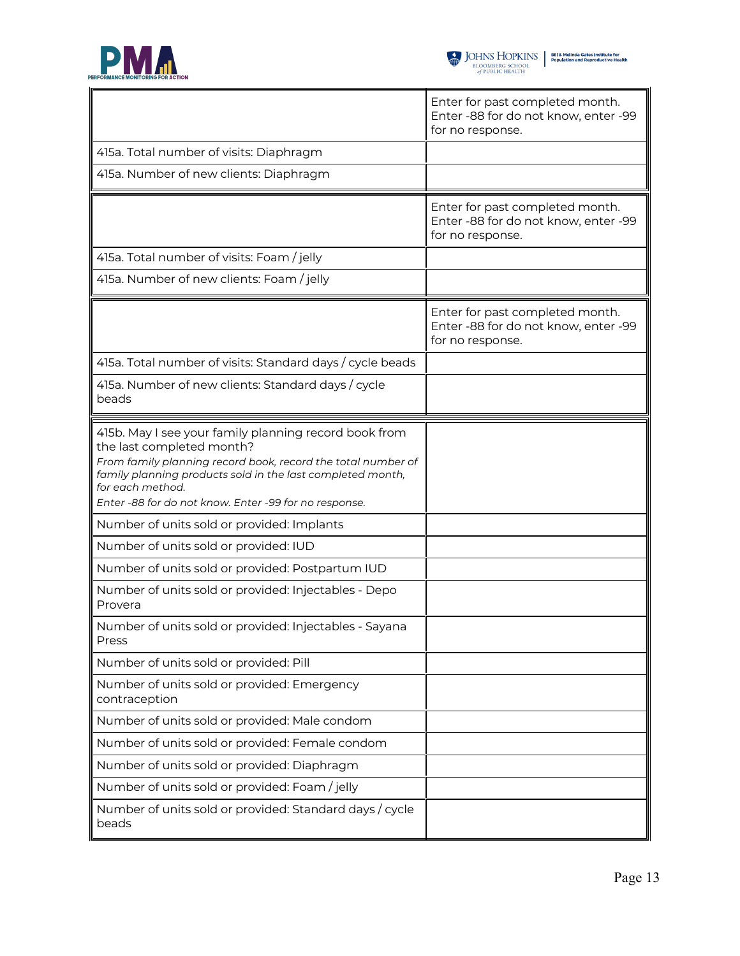

|                                                                                                                                                                                                                                                                                               | Enter for past completed month.<br>Enter -88 for do not know, enter -99<br>for no response. |
|-----------------------------------------------------------------------------------------------------------------------------------------------------------------------------------------------------------------------------------------------------------------------------------------------|---------------------------------------------------------------------------------------------|
| 415a. Total number of visits: Diaphragm                                                                                                                                                                                                                                                       |                                                                                             |
| 415a. Number of new clients: Diaphragm                                                                                                                                                                                                                                                        |                                                                                             |
|                                                                                                                                                                                                                                                                                               | Enter for past completed month.<br>Enter -88 for do not know, enter -99<br>for no response. |
| 415a. Total number of visits: Foam / jelly                                                                                                                                                                                                                                                    |                                                                                             |
| 415a. Number of new clients: Foam / jelly                                                                                                                                                                                                                                                     |                                                                                             |
|                                                                                                                                                                                                                                                                                               | Enter for past completed month.<br>Enter -88 for do not know, enter -99<br>for no response. |
| 415a. Total number of visits: Standard days / cycle beads                                                                                                                                                                                                                                     |                                                                                             |
| 415a. Number of new clients: Standard days / cycle<br>beads                                                                                                                                                                                                                                   |                                                                                             |
| 415b. May I see your family planning record book from<br>the last completed month?<br>From family planning record book, record the total number of<br>family planning products sold in the last completed month,<br>for each method.<br>Enter -88 for do not know. Enter -99 for no response. |                                                                                             |
| Number of units sold or provided: Implants                                                                                                                                                                                                                                                    |                                                                                             |
| Number of units sold or provided: IUD                                                                                                                                                                                                                                                         |                                                                                             |
| Number of units sold or provided: Postpartum IUD                                                                                                                                                                                                                                              |                                                                                             |
| Number of units sold or provided: Injectables - Depo<br>Provera                                                                                                                                                                                                                               |                                                                                             |
| Number of units sold or provided: Injectables - Sayana<br>III<br>Press                                                                                                                                                                                                                        |                                                                                             |
| Number of units sold or provided: Pill                                                                                                                                                                                                                                                        |                                                                                             |
| Number of units sold or provided: Emergency<br>contraception                                                                                                                                                                                                                                  |                                                                                             |
| Number of units sold or provided: Male condom                                                                                                                                                                                                                                                 |                                                                                             |
| Number of units sold or provided: Female condom                                                                                                                                                                                                                                               |                                                                                             |
| Number of units sold or provided: Diaphragm                                                                                                                                                                                                                                                   |                                                                                             |
| Number of units sold or provided: Foam / jelly                                                                                                                                                                                                                                                |                                                                                             |
| Number of units sold or provided: Standard days / cycle<br>beads                                                                                                                                                                                                                              |                                                                                             |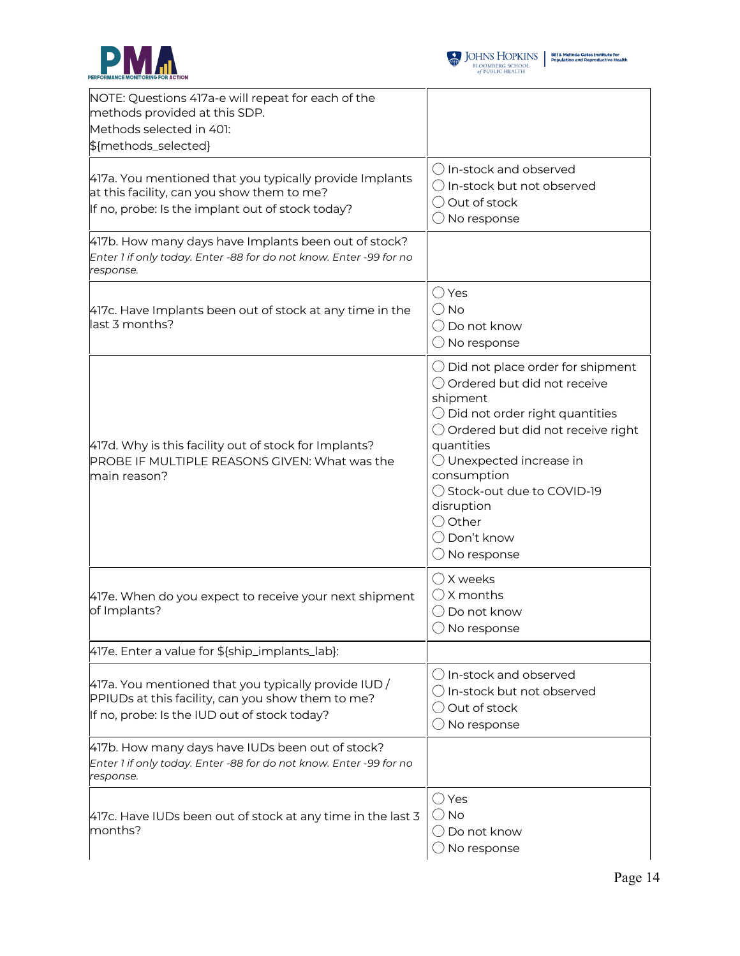



| NOTE: Questions 417a-e will repeat for each of the<br>methods provided at this SDP.<br>Methods selected in 401:<br>\${methods_selected}                   |                                                                                                                                                                                                                                                                                                                                                                    |
|-----------------------------------------------------------------------------------------------------------------------------------------------------------|--------------------------------------------------------------------------------------------------------------------------------------------------------------------------------------------------------------------------------------------------------------------------------------------------------------------------------------------------------------------|
| 417a. You mentioned that you typically provide Implants<br>at this facility, can you show them to me?<br>If no, probe: Is the implant out of stock today? | $\bigcirc$ In-stock and observed<br>$\bigcirc$ In-stock but not observed<br>◯ Out of stock<br>$\bigcirc$ No response                                                                                                                                                                                                                                               |
| 417b. How many days have Implants been out of stock?<br>Enter 1 if only today. Enter -88 for do not know. Enter -99 for no<br>response.                   |                                                                                                                                                                                                                                                                                                                                                                    |
| 417c. Have Implants been out of stock at any time in the<br>last 3 months?                                                                                | $\bigcirc$ Yes<br>$\bigcirc$ No<br>◯ Do not know<br>No response                                                                                                                                                                                                                                                                                                    |
| 417d. Why is this facility out of stock for Implants?<br>PROBE IF MULTIPLE REASONS GIVEN: What was the<br>main reason?                                    | $\bigcirc$ Did not place order for shipment<br>○ Ordered but did not receive<br>shipment<br>$\bigcirc$ Did not order right quantities<br>$\bigcirc$ Ordered but did not receive right<br>quantities<br>$\bigcirc$ Unexpected increase in<br>consumption<br>◯ Stock-out due to COVID-19<br>disruption<br>◯ Other<br>$\bigcirc$ Don't know<br>$\bigcirc$ No response |
| 417e. When do you expect to receive your next shipment<br>of Implants?                                                                                    | $\bigcirc$ X weeks<br>$\bigcirc$ X months<br>$\bigcirc$ Do not know<br>$\bigcirc$ No response                                                                                                                                                                                                                                                                      |
| 417e. Enter a value for \${ship_implants_lab}:                                                                                                            |                                                                                                                                                                                                                                                                                                                                                                    |
| 417a. You mentioned that you typically provide IUD /<br>PPIUDs at this facility, can you show them to me?<br>If no, probe: Is the IUD out of stock today? | () In-stock and observed<br>$\bigcirc$ In-stock but not observed<br>$\bigcirc$ Out of stock<br>$\bigcirc$ No response                                                                                                                                                                                                                                              |
| 417b. How many days have IUDs been out of stock?<br>Enter 1 if only today. Enter -88 for do not know. Enter -99 for no<br>response.                       |                                                                                                                                                                                                                                                                                                                                                                    |
| 417c. Have IUDs been out of stock at any time in the last 3<br>months?                                                                                    | $\bigcirc$ Yes<br>$\bigcirc$ No<br>$\bigcirc$ Do not know<br>$\bigcirc$ No response                                                                                                                                                                                                                                                                                |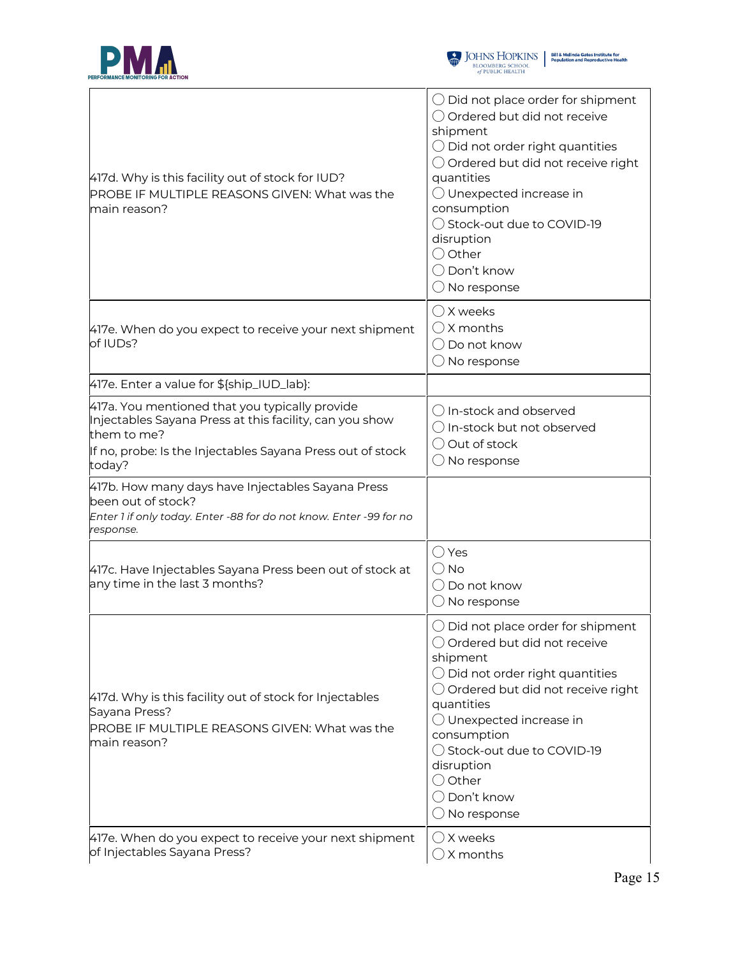



| 417d. Why is this facility out of stock for IUD?<br>PROBE IF MULTIPLE REASONS GIVEN: What was the<br>main reason?                                                                                | $\bigcirc$ Did not place order for shipment<br>○ Ordered but did not receive<br>shipment<br>$\bigcirc$ Did not order right quantities<br>$\bigcirc$ Ordered but did not receive right<br>quantities<br>$\bigcirc$ Unexpected increase in<br>consumption<br>◯ Stock-out due to COVID-19<br>disruption<br>$\bigcirc$ Other<br>$\bigcirc$ Don't know<br>$\bigcirc$ No response |
|--------------------------------------------------------------------------------------------------------------------------------------------------------------------------------------------------|-----------------------------------------------------------------------------------------------------------------------------------------------------------------------------------------------------------------------------------------------------------------------------------------------------------------------------------------------------------------------------|
| 417e. When do you expect to receive your next shipment<br>of IUDs?                                                                                                                               | ◯ X weeks<br>$\bigcirc$ X months<br>$\bigcirc$ Do not know<br>$\bigcirc$ No response                                                                                                                                                                                                                                                                                        |
| 417e. Enter a value for \${ship_IUD_lab}:                                                                                                                                                        |                                                                                                                                                                                                                                                                                                                                                                             |
| 417a. You mentioned that you typically provide<br>Injectables Sayana Press at this facility, can you show<br>them to me?<br>If no, probe: Is the Injectables Sayana Press out of stock<br>today? | () In-stock and observed<br>$\bigcirc$ In-stock but not observed<br>$\bigcirc$ Out of stock<br>$\bigcirc$ No response                                                                                                                                                                                                                                                       |
| 417b. How many days have Injectables Sayana Press<br>been out of stock?<br>Enter 1 if only today. Enter -88 for do not know. Enter -99 for no<br>response.                                       |                                                                                                                                                                                                                                                                                                                                                                             |
| 417c. Have Injectables Sayana Press been out of stock at<br>any time in the last 3 months?                                                                                                       | ◯ Yes<br>() No<br>◯ Do not know<br>$\bigcirc$ No response                                                                                                                                                                                                                                                                                                                   |
| 417d. Why is this facility out of stock for Injectables<br>Sayana Press?<br>PROBE IF MULTIPLE REASONS GIVEN: What was the<br>main reason?                                                        | Did not place order for shipment<br>◯ Ordered but did not receive<br>shipment<br>$\bigcirc$ Did not order right quantities<br>○ Ordered but did not receive right<br>quantities<br>$\bigcirc$ Unexpected increase in<br>consumption<br>◯ Stock-out due to COVID-19<br>disruption<br>$\bigcirc$ Other<br>$\bigcirc$ Don't know<br>$\bigcirc$ No response                     |
| 417e. When do you expect to receive your next shipment<br>of Injectables Sayana Press?                                                                                                           | $\bigcirc$ X weeks<br>$\bigcirc$ X months                                                                                                                                                                                                                                                                                                                                   |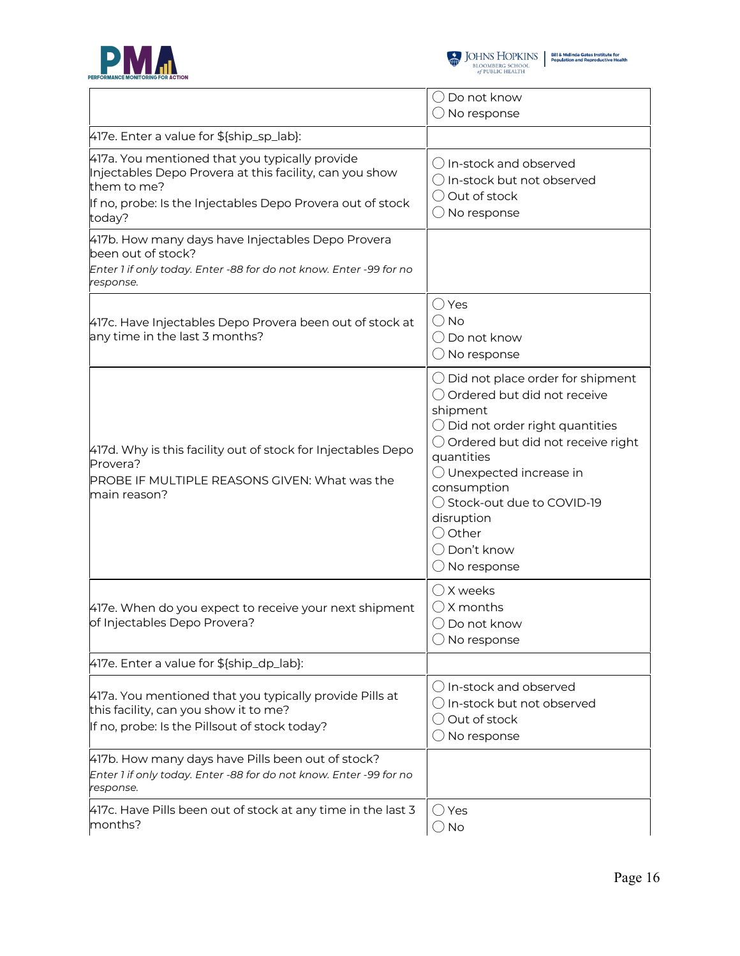



|                                                                                                                                                                                                  | ( ) Do not know<br>$\bigcirc$ No response                                                                                                                                                                                                                                                                                                                                   |
|--------------------------------------------------------------------------------------------------------------------------------------------------------------------------------------------------|-----------------------------------------------------------------------------------------------------------------------------------------------------------------------------------------------------------------------------------------------------------------------------------------------------------------------------------------------------------------------------|
| 417e. Enter a value for \${ship_sp_lab}:                                                                                                                                                         |                                                                                                                                                                                                                                                                                                                                                                             |
| 417a. You mentioned that you typically provide<br>Injectables Depo Provera at this facility, can you show<br>them to me?<br>If no, probe: Is the Injectables Depo Provera out of stock<br>today? | () In-stock and observed<br>○ In-stock but not observed<br>◯ Out of stock<br>$\bigcirc$ No response                                                                                                                                                                                                                                                                         |
| 417b. How many days have Injectables Depo Provera<br>been out of stock?<br>Enter 1 if only today. Enter -88 for do not know. Enter -99 for no<br>response.                                       |                                                                                                                                                                                                                                                                                                                                                                             |
| 417c. Have Injectables Depo Provera been out of stock at<br>any time in the last 3 months?                                                                                                       | $\bigcirc$ Yes<br>$\bigcirc$ No<br>◯ Do not know<br>$\bigcirc$ No response                                                                                                                                                                                                                                                                                                  |
| 417d. Why is this facility out of stock for Injectables Depo<br>Provera?<br>PROBE IF MULTIPLE REASONS GIVEN: What was the<br>main reason?                                                        | $\bigcirc$ Did not place order for shipment<br>O Ordered but did not receive<br>shipment<br>$\bigcirc$ Did not order right quantities<br>$\bigcirc$ Ordered but did not receive right<br>quantities<br>$\bigcirc$ Unexpected increase in<br>consumption<br>◯ Stock-out due to COVID-19<br>disruption<br>$\bigcirc$ Other<br>$\bigcirc$ Don't know<br>$\bigcirc$ No response |
| 417e. When do you expect to receive your next shipment<br>of Injectables Depo Provera?                                                                                                           | $\bigcirc$ X weeks<br>$\bigcirc$ X months<br>$\bigcirc$ Do not know<br>$\bigcirc$ No response                                                                                                                                                                                                                                                                               |
| 417e. Enter a value for \${ship_dp_lab}:                                                                                                                                                         |                                                                                                                                                                                                                                                                                                                                                                             |
| 417a. You mentioned that you typically provide Pills at<br>this facility, can you show it to me?<br>If no, probe: Is the Pillsout of stock today?                                                | ◯ In-stock and observed<br>$\bigcirc$ In-stock but not observed<br>◯ Out of stock<br>$\bigcirc$ No response                                                                                                                                                                                                                                                                 |
| 417b. How many days have Pills been out of stock?<br>Enter 1 if only today. Enter -88 for do not know. Enter -99 for no<br>response.                                                             |                                                                                                                                                                                                                                                                                                                                                                             |
| 417c. Have Pills been out of stock at any time in the last 3<br>months?                                                                                                                          | ∪ Yes<br>$\bigcirc$ No                                                                                                                                                                                                                                                                                                                                                      |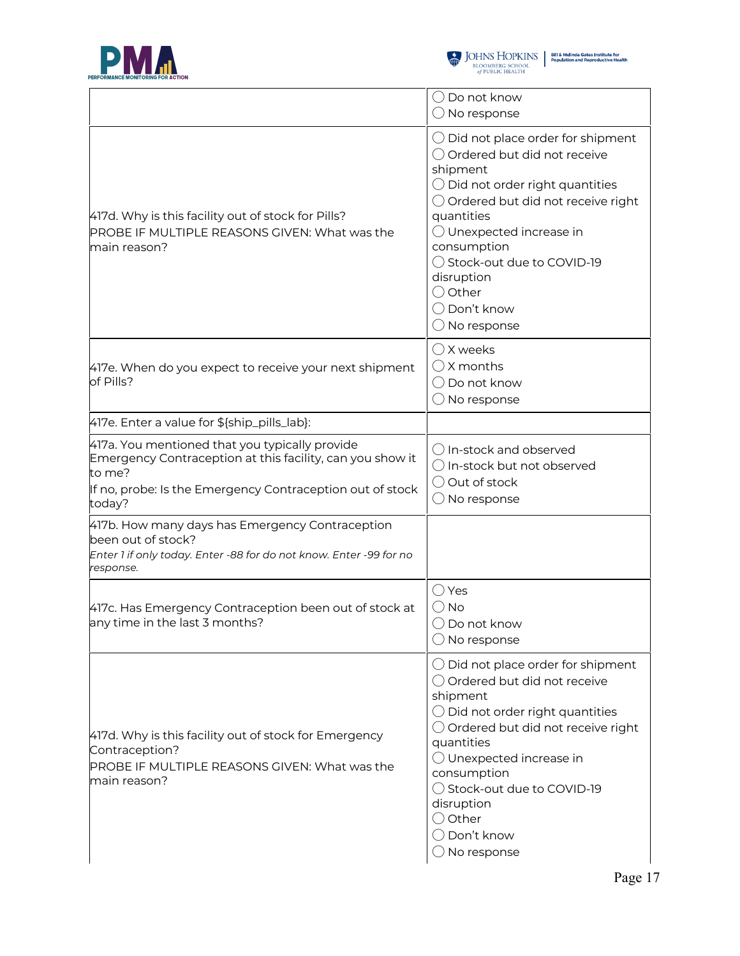



|                                                                                                                                                                                              | $\bigcirc$ Do not know<br>$\bigcirc$ No response                                                                                                                                                                                                                                                                                                                   |
|----------------------------------------------------------------------------------------------------------------------------------------------------------------------------------------------|--------------------------------------------------------------------------------------------------------------------------------------------------------------------------------------------------------------------------------------------------------------------------------------------------------------------------------------------------------------------|
| 417d. Why is this facility out of stock for Pills?<br><b>PROBE IF MULTIPLE REASONS GIVEN: What was the</b><br>main reason?                                                                   | $\bigcirc$ Did not place order for shipment<br>○ Ordered but did not receive<br>shipment<br>$\bigcirc$ Did not order right quantities<br>$\bigcirc$ Ordered but did not receive right<br>quantities<br>$\bigcirc$ Unexpected increase in<br>consumption<br>◯ Stock-out due to COVID-19<br>disruption<br>$\bigcirc$ Other<br>◯ Don't know<br>$\bigcirc$ No response |
| 417e. When do you expect to receive your next shipment<br>of Pills?                                                                                                                          | $\bigcirc$ X weeks<br>$\bigcirc$ X months<br>$\bigcirc$ Do not know<br>$\bigcirc$ No response                                                                                                                                                                                                                                                                      |
| 417e. Enter a value for \${ship_pills_lab}:                                                                                                                                                  |                                                                                                                                                                                                                                                                                                                                                                    |
| 417a. You mentioned that you typically provide<br>Emergency Contraception at this facility, can you show it<br>to me?<br>If no, probe: Is the Emergency Contraception out of stock<br>today? | $\bigcirc$ In-stock and observed<br>$\bigcirc$ In-stock but not observed<br>O Out of stock<br>$\bigcirc$ No response                                                                                                                                                                                                                                               |
| 417b. How many days has Emergency Contraception<br>been out of stock?<br>Enter 1 if only today. Enter -88 for do not know. Enter -99 for no<br>response.                                     |                                                                                                                                                                                                                                                                                                                                                                    |
| 417c. Has Emergency Contraception been out of stock at<br>any time in the last 3 months?                                                                                                     | $\bigcirc$ Yes<br>$\bigcirc$ No<br>$\bigcirc$ Do not know<br>$\bigcirc$ No response                                                                                                                                                                                                                                                                                |
| 417d. Why is this facility out of stock for Emergency<br>Contraception?<br>PROBE IF MULTIPLE REASONS GIVEN: What was the<br>main reason?                                                     | $\bigcirc$ Did not place order for shipment<br>○ Ordered but did not receive<br>shipment<br>$\bigcirc$ Did not order right quantities<br>$\bigcirc$ Ordered but did not receive right<br>quantities<br>O Unexpected increase in<br>consumption<br>◯ Stock-out due to COVID-19<br>disruption<br>$\bigcirc$ Other<br>$\bigcirc$ Don't know<br>$\bigcirc$ No response |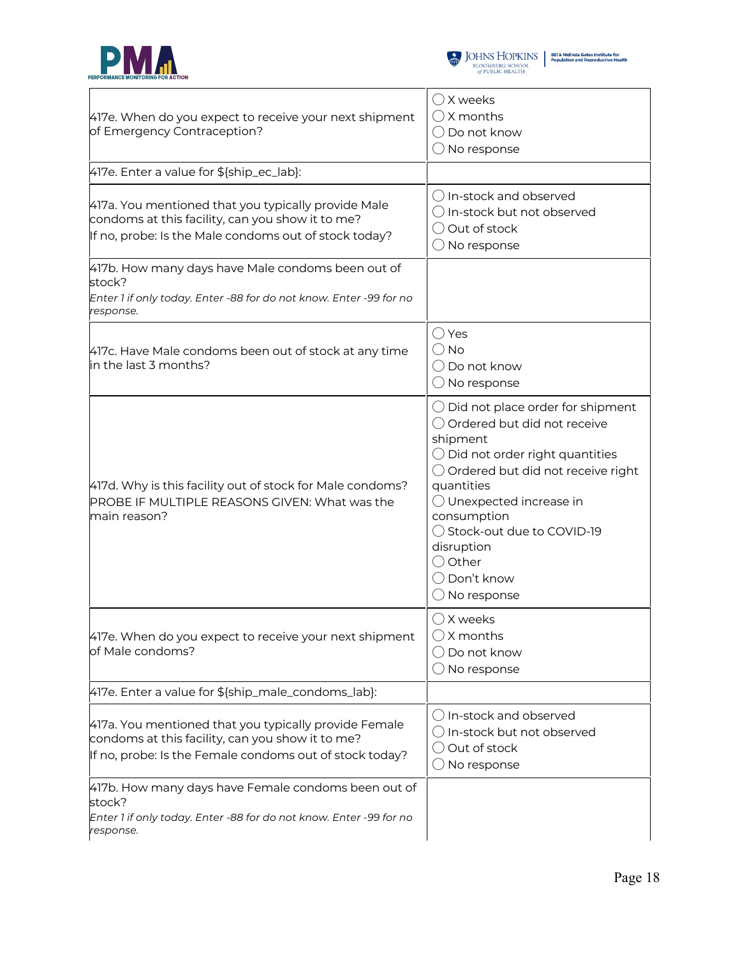



| 417e. When do you expect to receive your next shipment<br>of Emergency Contraception?                                                                                | $\bigcirc$ X weeks<br>$\bigcirc$ X months<br>$\bigcirc$ Do not know<br>$\bigcirc$ No response                                                                                                                                                                                                                                                                      |
|----------------------------------------------------------------------------------------------------------------------------------------------------------------------|--------------------------------------------------------------------------------------------------------------------------------------------------------------------------------------------------------------------------------------------------------------------------------------------------------------------------------------------------------------------|
| 417e. Enter a value for \${ship_ec_lab}:                                                                                                                             |                                                                                                                                                                                                                                                                                                                                                                    |
| 417a. You mentioned that you typically provide Male<br>condoms at this facility, can you show it to me?<br>If no, probe: Is the Male condoms out of stock today?     | ◯ In-stock and observed<br>$\bigcirc$ In-stock but not observed<br>O Out of stock<br>$\bigcirc$ No response                                                                                                                                                                                                                                                        |
| 417b. How many days have Male condoms been out of<br>stock?<br>Enter 1 if only today. Enter -88 for do not know. Enter -99 for no<br>response.                       |                                                                                                                                                                                                                                                                                                                                                                    |
| 417c. Have Male condoms been out of stock at any time<br>in the last 3 months?                                                                                       | $\bigcirc$ Yes<br>$\bigcirc$ No<br>◯ Do not know<br>$\bigcirc$ No response                                                                                                                                                                                                                                                                                         |
| 417d. Why is this facility out of stock for Male condoms?<br>PROBE IF MULTIPLE REASONS GIVEN: What was the<br>main reason?                                           | $\bigcirc$ Did not place order for shipment<br>O Ordered but did not receive<br>shipment<br>$\bigcirc$ Did not order right quantities<br>$\bigcirc$ Ordered but did not receive right<br>quantities<br>$\bigcirc$ Unexpected increase in<br>consumption<br>◯ Stock-out due to COVID-19<br>disruption<br>O Other<br>$\bigcirc$ Don't know<br>$\bigcirc$ No response |
| 417e. When do you expect to receive your next shipment<br>of Male condoms?                                                                                           | $\bigcirc$ X weeks<br>$\bigcirc$ X months<br>$\bigcirc$ Do not know<br>$\bigcirc$ No response                                                                                                                                                                                                                                                                      |
| 417e. Enter a value for \${ship_male_condoms_lab}:                                                                                                                   |                                                                                                                                                                                                                                                                                                                                                                    |
| 417a. You mentioned that you typically provide Female<br>condoms at this facility, can you show it to me?<br>If no, probe: Is the Female condoms out of stock today? | $\bigcirc$ In-stock and observed<br>$\bigcirc$ In-stock but not observed<br>$\bigcirc$ Out of stock<br>$\bigcirc$ No response                                                                                                                                                                                                                                      |
| 417b. How many days have Female condoms been out of<br>stock?<br>Enter 1 if only today. Enter -88 for do not know. Enter -99 for no<br>response.                     |                                                                                                                                                                                                                                                                                                                                                                    |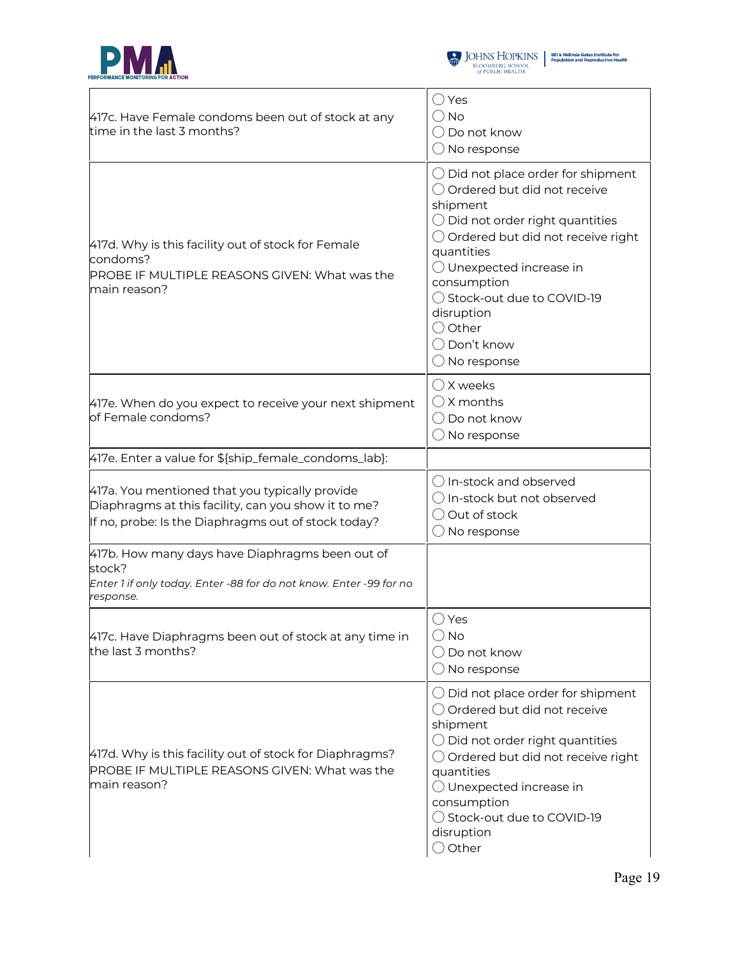



| 417c. Have Female condoms been out of stock at any<br>time in the last 3 months?                                                                             | $\bigcirc$ Yes<br>( ) No<br>◯ Do not know<br>$\bigcirc$ No response                                                                                                                                                                                                                                                                                       |
|--------------------------------------------------------------------------------------------------------------------------------------------------------------|-----------------------------------------------------------------------------------------------------------------------------------------------------------------------------------------------------------------------------------------------------------------------------------------------------------------------------------------------------------|
| 417d. Why is this facility out of stock for Female<br>condoms?<br>PROBE IF MULTIPLE REASONS GIVEN: What was the<br>main reason?                              | $\bigcirc$ Did not place order for shipment<br>◯ Ordered but did not receive<br>shipment<br>$\bigcirc$ Did not order right quantities<br>$\bigcirc$ Ordered but did not receive right<br>quantities<br>$\bigcirc$ Unexpected increase in<br>consumption<br>◯ Stock-out due to COVID-19<br>disruption<br>◯ Other<br>◯ Don't know<br>$\bigcirc$ No response |
| 417e. When do you expect to receive your next shipment<br>of Female condoms?                                                                                 | $\bigcirc$ X weeks<br>$\bigcirc$ X months<br>$\bigcirc$ Do not know<br>$\bigcirc$ No response                                                                                                                                                                                                                                                             |
| 417e. Enter a value for \${ship_female_condoms_lab}:                                                                                                         |                                                                                                                                                                                                                                                                                                                                                           |
| 417a. You mentioned that you typically provide<br>Diaphragms at this facility, can you show it to me?<br>If no, probe: Is the Diaphragms out of stock today? | ◯ In-stock and observed<br>$\bigcirc$ In-stock but not observed<br>$\bigcirc$ Out of stock<br>$\bigcirc$ No response                                                                                                                                                                                                                                      |
| 417b. How many days have Diaphragms been out of<br>stock?<br>Enter 1 if only today. Enter -88 for do not know. Enter -99 for no<br>response.                 |                                                                                                                                                                                                                                                                                                                                                           |
| 417c. Have Diaphragms been out of stock at any time in<br>the last 3 months?                                                                                 | ◯ Yes<br>$\bigcirc$ No<br>$\bigcirc$ Do not know<br>$\bigcirc$ No response                                                                                                                                                                                                                                                                                |
| 417d. Why is this facility out of stock for Diaphragms?<br>PROBE IF MULTIPLE REASONS GIVEN: What was the<br>main reason?                                     | $\bigcirc$ Did not place order for shipment<br>○ Ordered but did not receive<br>shipment<br>$\bigcirc$ Did not order right quantities<br>$\bigcirc$ Ordered but did not receive right<br>quantities<br>O Unexpected increase in<br>consumption<br>◯ Stock-out due to COVID-19<br>disruption<br>$\bigcirc$ Other                                           |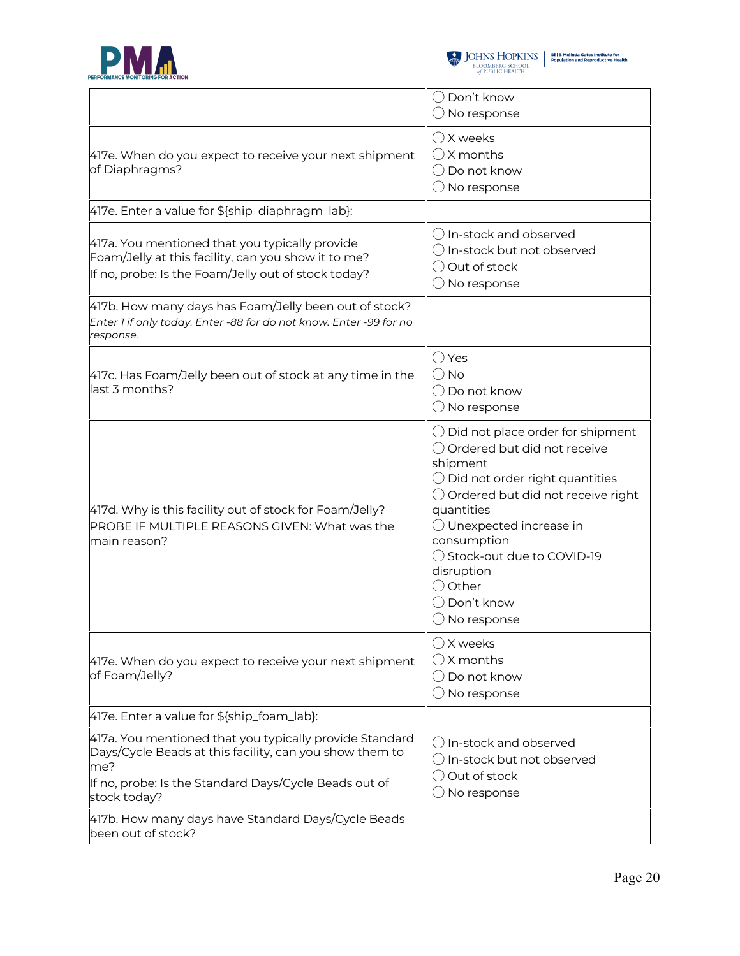



|                                                                                                                                                                                                    | $\bigcirc$ Don't know<br>$\bigcirc$ No response                                                                                                                                                                                                                                                                                            |
|----------------------------------------------------------------------------------------------------------------------------------------------------------------------------------------------------|--------------------------------------------------------------------------------------------------------------------------------------------------------------------------------------------------------------------------------------------------------------------------------------------------------------------------------------------|
| 417e. When do you expect to receive your next shipment<br>of Diaphragms?                                                                                                                           | $\bigcirc$ X weeks<br>$\bigcirc$ X months<br>Do not know<br>$($ )<br>$\bigcirc$ No response                                                                                                                                                                                                                                                |
| 417e. Enter a value for \${ship_diaphragm_lab}:                                                                                                                                                    |                                                                                                                                                                                                                                                                                                                                            |
| 417a. You mentioned that you typically provide<br>Foam/Jelly at this facility, can you show it to me?<br>If no, probe: Is the Foam/Jelly out of stock today?                                       | () In-stock and observed<br>$\bigcirc$ In-stock but not observed<br>$\bigcirc$ Out of stock<br>$\bigcirc$ No response                                                                                                                                                                                                                      |
| 417b. How many days has Foam/Jelly been out of stock?<br>Enter 1 if only today. Enter -88 for do not know. Enter -99 for no<br>response.                                                           |                                                                                                                                                                                                                                                                                                                                            |
| 417c. Has Foam/Jelly been out of stock at any time in the<br>last 3 months?                                                                                                                        | $\bigcirc$ Yes<br>$()$ No<br>◯ Do not know<br>$\bigcirc$ No response                                                                                                                                                                                                                                                                       |
| 417d. Why is this facility out of stock for Foam/Jelly?<br>PROBE IF MULTIPLE REASONS GIVEN: What was the<br>main reason?                                                                           | $\bigcirc$ Did not place order for shipment<br>◯ Ordered but did not receive<br>shipment<br>$\bigcirc$ Did not order right quantities<br>Ordered but did not receive right<br>quantities<br>$\bigcirc$ Unexpected increase in<br>consumption<br>◯ Stock-out due to COVID-19<br>disruption<br>$\bigcirc$ Other<br>Don't know<br>No response |
| 417e. When do you expect to receive your next shipment<br>of Foam/Jelly?                                                                                                                           | $\bigcirc$ X weeks<br>$\bigcirc$ X months<br>Do not know<br>$\bigcirc$ No response                                                                                                                                                                                                                                                         |
| 417e. Enter a value for \${ship_foam_lab}:                                                                                                                                                         |                                                                                                                                                                                                                                                                                                                                            |
| 417a. You mentioned that you typically provide Standard<br>Days/Cycle Beads at this facility, can you show them to<br>me?<br>If no, probe: Is the Standard Days/Cycle Beads out of<br>stock today? | $\bigcirc$ In-stock and observed<br>$\bigcirc$ In-stock but not observed<br>Out of stock<br>No response                                                                                                                                                                                                                                    |
| 417b. How many days have Standard Days/Cycle Beads<br>been out of stock?                                                                                                                           |                                                                                                                                                                                                                                                                                                                                            |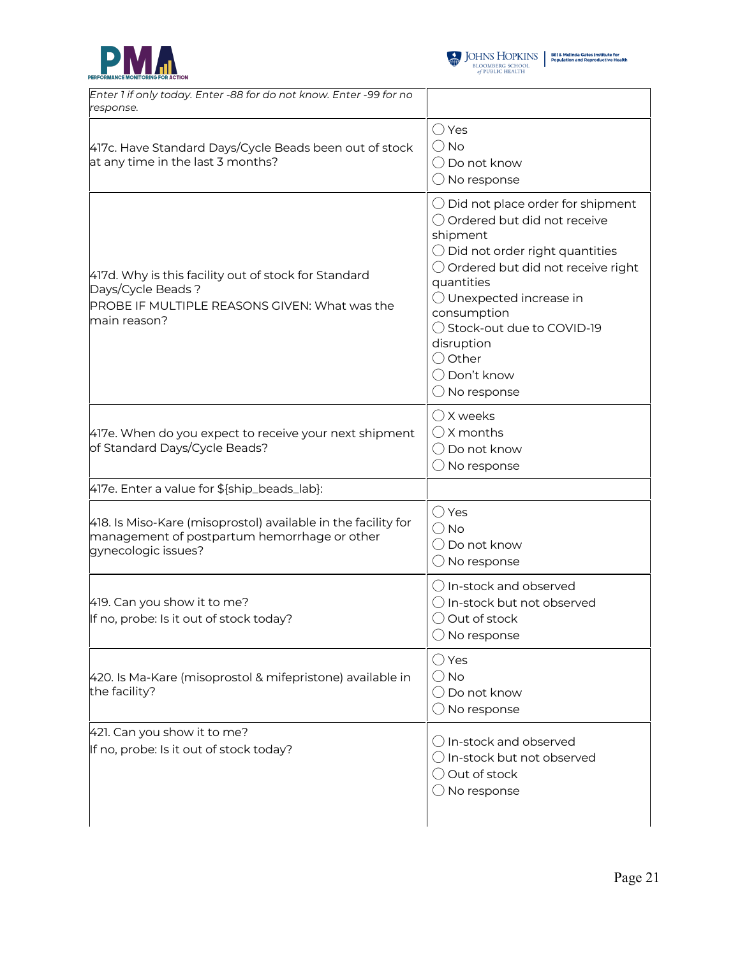



| Enter 1 if only today. Enter -88 for do not know. Enter -99 for no<br>response.                                                            |                                                                                                                                                                                                                                                                                                                                                           |
|--------------------------------------------------------------------------------------------------------------------------------------------|-----------------------------------------------------------------------------------------------------------------------------------------------------------------------------------------------------------------------------------------------------------------------------------------------------------------------------------------------------------|
| 417c. Have Standard Days/Cycle Beads been out of stock<br>at any time in the last 3 months?                                                | $\bigcirc$ Yes<br>$\bigcirc$ No<br>$\bigcirc$ Do not know<br>$\bigcirc$ No response                                                                                                                                                                                                                                                                       |
| 417d. Why is this facility out of stock for Standard<br>Days/Cycle Beads?<br>PROBE IF MULTIPLE REASONS GIVEN: What was the<br>main reason? | $\bigcirc$ Did not place order for shipment<br>◯ Ordered but did not receive<br>shipment<br>$\bigcirc$ Did not order right quantities<br>O Ordered but did not receive right<br>quantities<br>$\bigcirc$ Unexpected increase in<br>consumption<br>◯ Stock-out due to COVID-19<br>disruption<br>$\bigcirc$ Other<br>◯ Don't know<br>$\bigcirc$ No response |
| 417e. When do you expect to receive your next shipment<br>of Standard Days/Cycle Beads?                                                    | $\bigcirc$ X weeks<br>$\bigcirc$ X months<br>$\bigcirc$ Do not know<br>$\bigcirc$ No response                                                                                                                                                                                                                                                             |
| 417e. Enter a value for \${ship_beads_lab}:                                                                                                |                                                                                                                                                                                                                                                                                                                                                           |
| 418. Is Miso-Kare (misoprostol) available in the facility for<br>management of postpartum hemorrhage or other<br>gynecologic issues?       | $\bigcirc$ Yes<br>$\bigcirc$ No<br>$\bigcirc$ Do not know<br>$\bigcirc$ No response                                                                                                                                                                                                                                                                       |
| 419. Can you show it to me?<br>If no, probe: Is it out of stock today?                                                                     | $\bigcirc$ In-stock and observed<br>○ In-stock but not observed<br>$\bigcirc$ Out of stock<br>$\bigcirc$ No response                                                                                                                                                                                                                                      |
| 420. Is Ma-Kare (misoprostol & mifepristone) available in<br>the facility?                                                                 | $\bigcirc$ Yes<br>$\bigcirc$ No<br>$\bigcirc$ Do not know<br>$\bigcirc$ No response                                                                                                                                                                                                                                                                       |
| 421. Can you show it to me?<br>If no, probe: Is it out of stock today?                                                                     | $\bigcirc$ In-stock and observed<br>$\bigcirc$ In-stock but not observed<br>$\bigcirc$ Out of stock<br>$\bigcirc$ No response                                                                                                                                                                                                                             |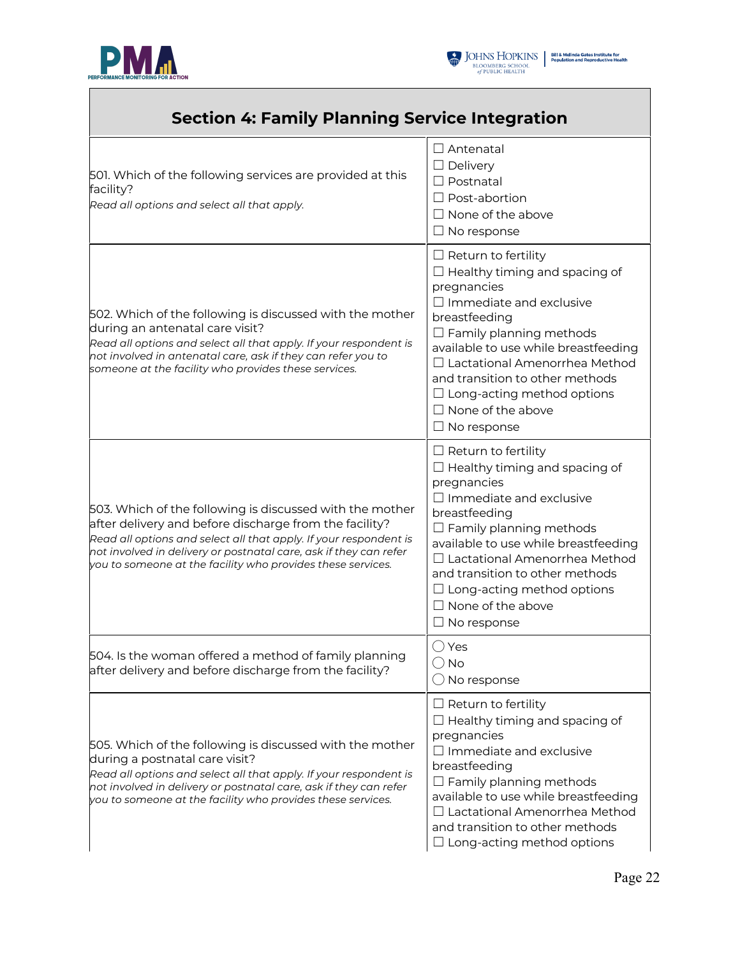

Г



| <b>Section 4: Family Planning Service Integration</b>                                                                                                                                                                                                                                                                       |                                                                                                                                                                                                                                                                                                                                                                                  |
|-----------------------------------------------------------------------------------------------------------------------------------------------------------------------------------------------------------------------------------------------------------------------------------------------------------------------------|----------------------------------------------------------------------------------------------------------------------------------------------------------------------------------------------------------------------------------------------------------------------------------------------------------------------------------------------------------------------------------|
| 501. Which of the following services are provided at this<br>facility?<br>Read all options and select all that apply.                                                                                                                                                                                                       | $\Box$ Antenatal<br>$\Box$ Delivery<br>$\Box$ Postnatal<br>$\Box$ Post-abortion<br>$\Box$ None of the above<br>$\Box$ No response                                                                                                                                                                                                                                                |
| 502. Which of the following is discussed with the mother<br>during an antenatal care visit?<br>Read all options and select all that apply. If your respondent is<br>not involved in antenatal care, ask if they can refer you to<br>someone at the facility who provides these services.                                    | $\Box$ Return to fertility<br>$\Box$ Healthy timing and spacing of<br>pregnancies<br>$\Box$ Immediate and exclusive<br>breastfeeding<br>$\Box$ Family planning methods<br>available to use while breastfeeding<br>$\Box$ Lactational Amenorrhea Method<br>and transition to other methods<br>$\Box$ Long-acting method options<br>$\Box$ None of the above<br>$\Box$ No response |
| 503. Which of the following is discussed with the mother<br>after delivery and before discharge from the facility?<br>Read all options and select all that apply. If your respondent is<br>not involved in delivery or postnatal care, ask if they can refer<br>you to someone at the facility who provides these services. | $\Box$ Return to fertility<br>$\Box$ Healthy timing and spacing of<br>pregnancies<br>$\Box$ Immediate and exclusive<br>breastfeeding<br>$\Box$ Family planning methods<br>available to use while breastfeeding<br>$\Box$ Lactational Amenorrhea Method<br>and transition to other methods<br>$\Box$ Long-acting method options<br>$\Box$ None of the above<br>$\Box$ No response |
| 504. Is the woman offered a method of family planning<br>after delivery and before discharge from the facility?                                                                                                                                                                                                             | $\bigcirc$ Yes<br>$\bigcirc$ No<br>$\bigcirc$ No response                                                                                                                                                                                                                                                                                                                        |
| 505. Which of the following is discussed with the mother<br>during a postnatal care visit?<br>Read all options and select all that apply. If your respondent is<br>not involved in delivery or postnatal care, ask if they can refer<br>you to someone at the facility who provides these services.                         | $\Box$ Return to fertility<br>$\Box$ Healthy timing and spacing of<br>pregnancies<br>$\Box$ Immediate and exclusive<br>breastfeeding<br>$\Box$ Family planning methods<br>available to use while breastfeeding<br>$\Box$ Lactational Amenorrhea Method<br>and transition to other methods<br>$\Box$ Long-acting method options                                                   |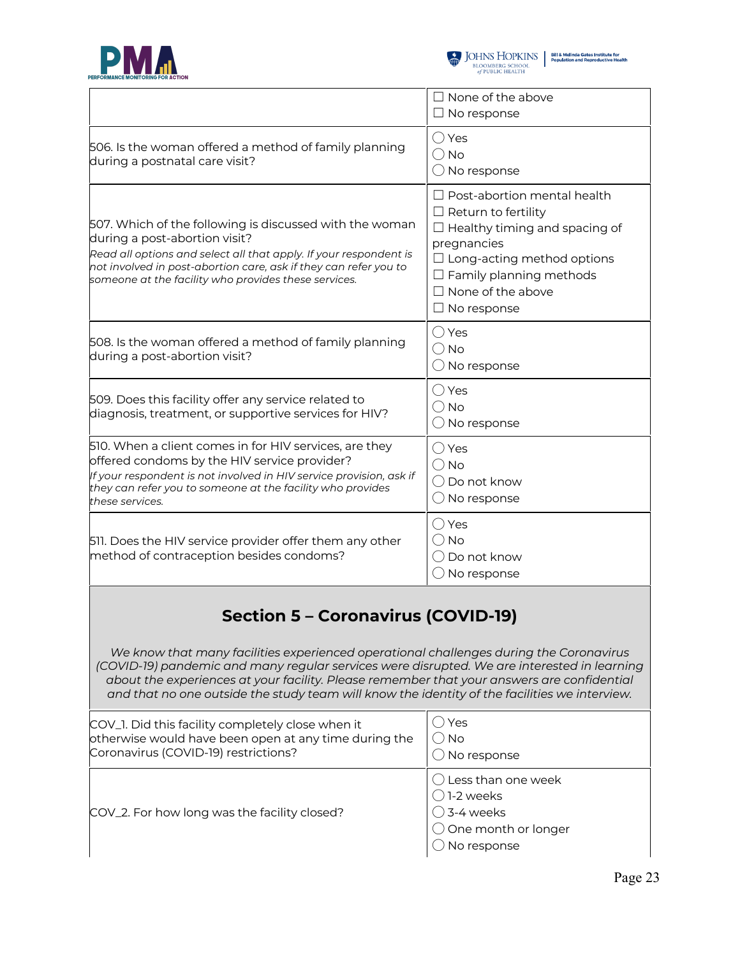



 $\begin{tabular}{l|c|c|c} \hline \textbf{J} & \textbf{JOHNS} & \textbf{HOPKINS} & \textbf{Bilä Melinda Gates instituta for}\\ \hline \textbf{BLOOMBERG SCHOOL} & \textbf{Population and Reproductive Health} \\ \hline \textit{of PUBLIC HEALTH} & \end{tabular}$ 

|                                                                                                                                                                                                                                                                                                                                                                                                                                   | $\Box$ None of the above<br>$\Box$ No response                                                                                                                                                                                                   |  |
|-----------------------------------------------------------------------------------------------------------------------------------------------------------------------------------------------------------------------------------------------------------------------------------------------------------------------------------------------------------------------------------------------------------------------------------|--------------------------------------------------------------------------------------------------------------------------------------------------------------------------------------------------------------------------------------------------|--|
| 506. Is the woman offered a method of family planning<br>during a postnatal care visit?                                                                                                                                                                                                                                                                                                                                           | $\bigcirc$ Yes<br>$\bigcirc$ No<br>$\bigcirc$ No response                                                                                                                                                                                        |  |
| 507. Which of the following is discussed with the woman<br>during a post-abortion visit?<br>Read all options and select all that apply. If your respondent is<br>not involved in post-abortion care, ask if they can refer you to<br>someone at the facility who provides these services.                                                                                                                                         | $\Box$ Post-abortion mental health<br>$\Box$ Return to fertility<br>$\Box$ Healthy timing and spacing of<br>pregnancies<br>$\Box$ Long-acting method options<br>$\Box$ Family planning methods<br>$\Box$ None of the above<br>$\Box$ No response |  |
| 508. Is the woman offered a method of family planning<br>during a post-abortion visit?                                                                                                                                                                                                                                                                                                                                            | $\bigcirc$ Yes<br>$\bigcirc$ No<br>$\bigcirc$ No response                                                                                                                                                                                        |  |
| 509. Does this facility offer any service related to<br>diagnosis, treatment, or supportive services for HIV?                                                                                                                                                                                                                                                                                                                     | $\bigcirc$ Yes<br>$\bigcirc$ No<br>$\bigcirc$ No response                                                                                                                                                                                        |  |
| 510. When a client comes in for HIV services, are they<br>offered condoms by the HIV service provider?<br>If your respondent is not involved in HIV service provision, ask if<br>they can refer you to someone at the facility who provides<br>these services.                                                                                                                                                                    | $\bigcirc$ Yes<br>$\bigcirc$ No<br>◯ Do not know<br>$\bigcirc$ No response                                                                                                                                                                       |  |
| 511. Does the HIV service provider offer them any other<br>method of contraception besides condoms?                                                                                                                                                                                                                                                                                                                               | $\bigcirc$ Yes<br>$\bigcirc$ No<br>$\bigcirc$ Do not know<br>$\bigcirc$ No response                                                                                                                                                              |  |
| <b>Section 5 - Coronavirus (COVID-19)</b><br>We know that many facilities experienced operational challenges during the Coronavirus<br>(COVID-19) pandemic and many regular services were disrupted. We are interested in learning<br>about the experiences at your facility. Please remember that your answers are confidential<br>and that no one outside the study team will know the identity of the facilities we interview. |                                                                                                                                                                                                                                                  |  |
| COV_1. Did this facility completely close when it<br>otherwise would have been open at any time during the<br>Coronavirus (COVID-19) restrictions?                                                                                                                                                                                                                                                                                | ( ) Yes<br>( ) No<br>$\bigcirc$ No response                                                                                                                                                                                                      |  |
| COV_2. For how long was the facility closed?                                                                                                                                                                                                                                                                                                                                                                                      | () Less than one week<br>〔 )]-2 weeks<br>( ) 3-4 weeks<br>$\bigcirc$ One month or longer<br>No response                                                                                                                                          |  |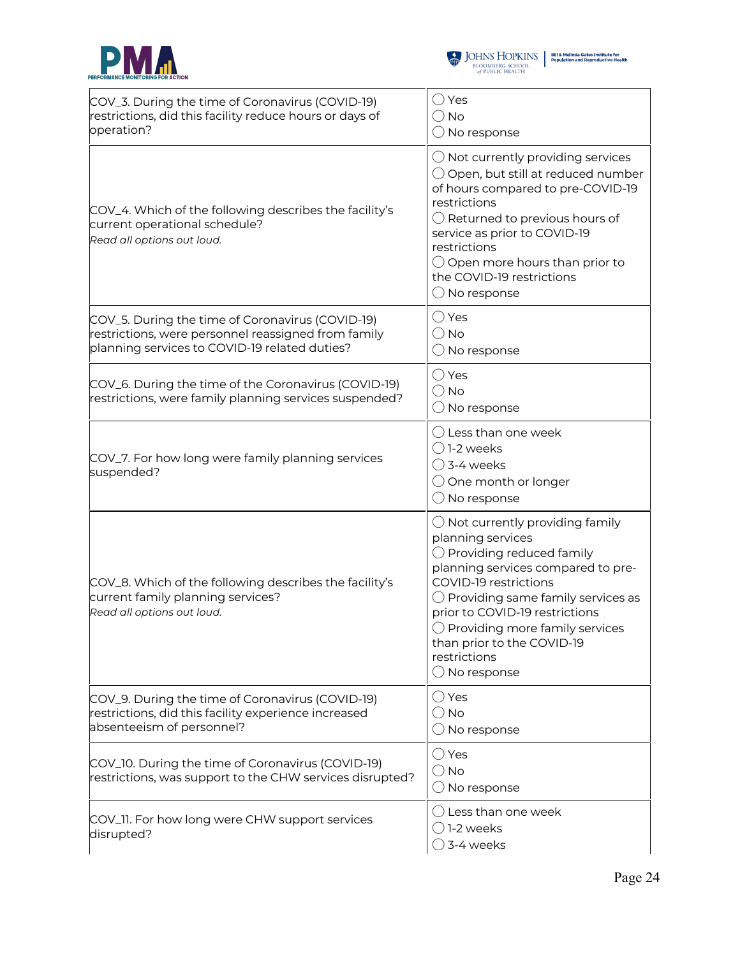



| COV_3. During the time of Coronavirus (COVID-19)<br>restrictions, did this facility reduce hours or days of<br>operation?                                | $\bigcirc$ Yes<br>$\bigcirc$ No<br>$\bigcirc$ No response                                                                                                                                                                                                                                                                                                                   |
|----------------------------------------------------------------------------------------------------------------------------------------------------------|-----------------------------------------------------------------------------------------------------------------------------------------------------------------------------------------------------------------------------------------------------------------------------------------------------------------------------------------------------------------------------|
| COV_4. Which of the following describes the facility's<br>current operational schedule?<br>Read all options out loud.                                    | $\bigcirc$ Not currently providing services<br>$\bigcirc$ Open, but still at reduced number<br>of hours compared to pre-COVID-19<br>restrictions<br>$\bigcirc$ Returned to previous hours of<br>service as prior to COVID-19<br>restrictions<br>$\bigcirc$ Open more hours than prior to<br>the COVID-19 restrictions<br>$\bigcirc$ No response                             |
| COV_5. During the time of Coronavirus (COVID-19)<br>restrictions, were personnel reassigned from family<br>planning services to COVID-19 related duties? | $\bigcirc$ Yes<br>$\bigcirc$ No<br>$\bigcirc$ No response                                                                                                                                                                                                                                                                                                                   |
| COV_6. During the time of the Coronavirus (COVID-19)<br>restrictions, were family planning services suspended?                                           | $\bigcirc$ Yes<br>$\bigcirc$ No<br>$\bigcirc$ No response                                                                                                                                                                                                                                                                                                                   |
| COV_7. For how long were family planning services<br>suspended?                                                                                          | $\bigcirc$ Less than one week<br>$\bigcirc$ 1-2 weeks<br>$\bigcirc$ 3-4 weeks<br>○ One month or longer<br>$\bigcirc$ No response                                                                                                                                                                                                                                            |
| COV_8. Which of the following describes the facility's<br>current family planning services?<br>Read all options out loud.                                | $\bigcirc$ Not currently providing family<br>planning services<br>$\bigcirc$ Providing reduced family<br>planning services compared to pre-<br>COVID-19 restrictions<br>$\bigcirc$ Providing same family services as<br>prior to COVID-19 restrictions<br>$\bigcirc$ Providing more family services<br>than prior to the COVID-19<br>restrictions<br>$\bigcirc$ No response |
| COV_9. During the time of Coronavirus (COVID-19)<br>restrictions, did this facility experience increased<br>absenteeism of personnel?                    | $\bigcirc$ Yes<br>$\bigcirc$ No<br>$\bigcirc$ No response                                                                                                                                                                                                                                                                                                                   |
| COV_10. During the time of Coronavirus (COVID-19)<br>restrictions, was support to the CHW services disrupted?                                            | $\bigcirc$ Yes<br>$\bigcirc$ No<br>$\bigcirc$ No response                                                                                                                                                                                                                                                                                                                   |
| COV_11. For how long were CHW support services<br>disrupted?                                                                                             | $\bigcirc$ Less than one week<br>( ) 1-2 weeks<br>$\bigcirc$ 3-4 weeks                                                                                                                                                                                                                                                                                                      |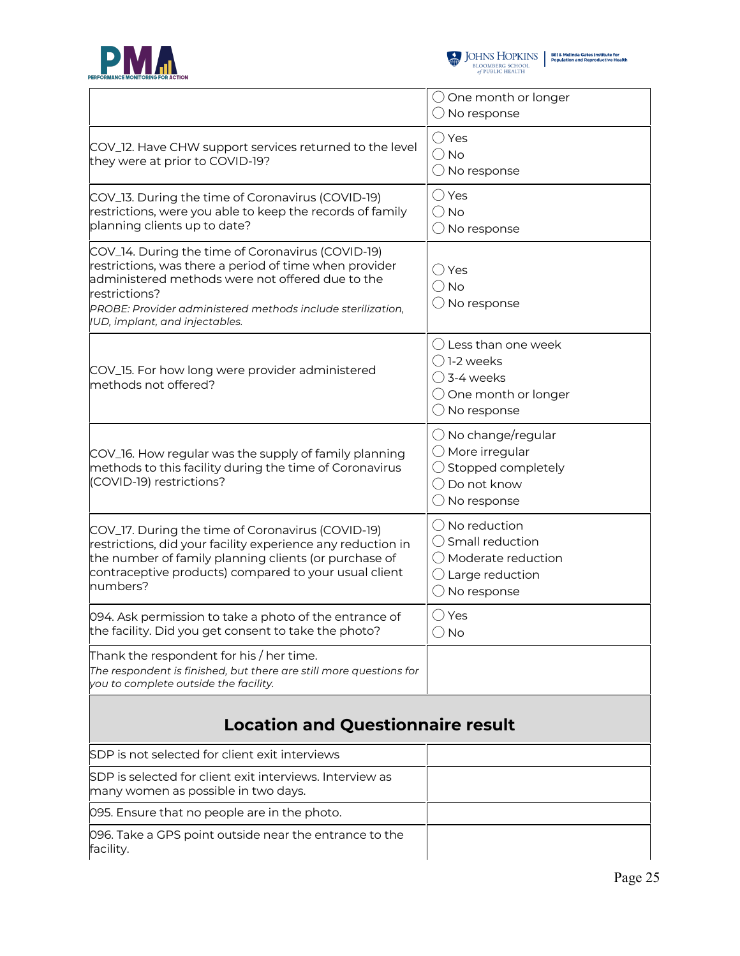



|                                                                                                                                                                                                                                                                                   | $\bigcirc$ One month or longer<br>$\bigcirc$ No response                                                                                       |
|-----------------------------------------------------------------------------------------------------------------------------------------------------------------------------------------------------------------------------------------------------------------------------------|------------------------------------------------------------------------------------------------------------------------------------------------|
| COV_12. Have CHW support services returned to the level<br>they were at prior to COVID-19?                                                                                                                                                                                        | $\bigcirc$ Yes<br>$\bigcirc$ No<br>$\bigcirc$ No response                                                                                      |
| COV_13. During the time of Coronavirus (COVID-19)<br>restrictions, were you able to keep the records of family<br>planning clients up to date?                                                                                                                                    | $\bigcirc$ Yes<br>$\bigcirc$ No<br>$\bigcirc$ No response                                                                                      |
| COV_14. During the time of Coronavirus (COVID-19)<br>restrictions, was there a period of time when provider<br>administered methods were not offered due to the<br>restrictions?<br>PROBE: Provider administered methods include sterilization,<br>IUD, implant, and injectables. | ◯ Yes<br>$\bigcirc$ No<br>$\bigcirc$ No response                                                                                               |
| COV_15. For how long were provider administered<br>methods not offered?                                                                                                                                                                                                           | ( ) Less than one week<br>$\bigcap$ 1-2 weeks<br>$\bigcirc$ 3-4 weeks<br>$\bigcirc$ One month or longer<br>$\bigcirc$ No response              |
| COV_16. How regular was the supply of family planning<br>methods to this facility during the time of Coronavirus<br>(COVID-19) restrictions?                                                                                                                                      | $\bigcirc$ No change/regular<br>$\bigcirc$ More irregular<br>$\bigcirc$ Stopped completely<br>$\bigcirc$ Do not know<br>$\bigcirc$ No response |
| COV_17. During the time of Coronavirus (COVID-19)<br>restrictions, did your facility experience any reduction in<br>the number of family planning clients (or purchase of<br>contraceptive products) compared to your usual client<br>numbers?                                    | $\bigcirc$ No reduction<br>$\bigcirc$ Small reduction<br>O Moderate reduction<br>$\bigcirc$ Large reduction<br>$\bigcirc$ No response          |
| 094. Ask permission to take a photo of the entrance of<br>the facility. Did you get consent to take the photo?                                                                                                                                                                    | ◯ Yes<br>$\bigcirc$ No                                                                                                                         |
| Thank the respondent for his / her time.<br>The respondent is finished, but there are still more questions for<br>you to complete outside the facility.                                                                                                                           |                                                                                                                                                |
| <b>Location and Questionnaire result</b>                                                                                                                                                                                                                                          |                                                                                                                                                |
| SDP is not selected for client exit interviews                                                                                                                                                                                                                                    |                                                                                                                                                |
| SDP is selected for client exit interviews. Interview as<br>many women as possible in two days.                                                                                                                                                                                   |                                                                                                                                                |

096. Take a GPS point outside near the entrance to the facility.

095. Ensure that no people are in the photo.